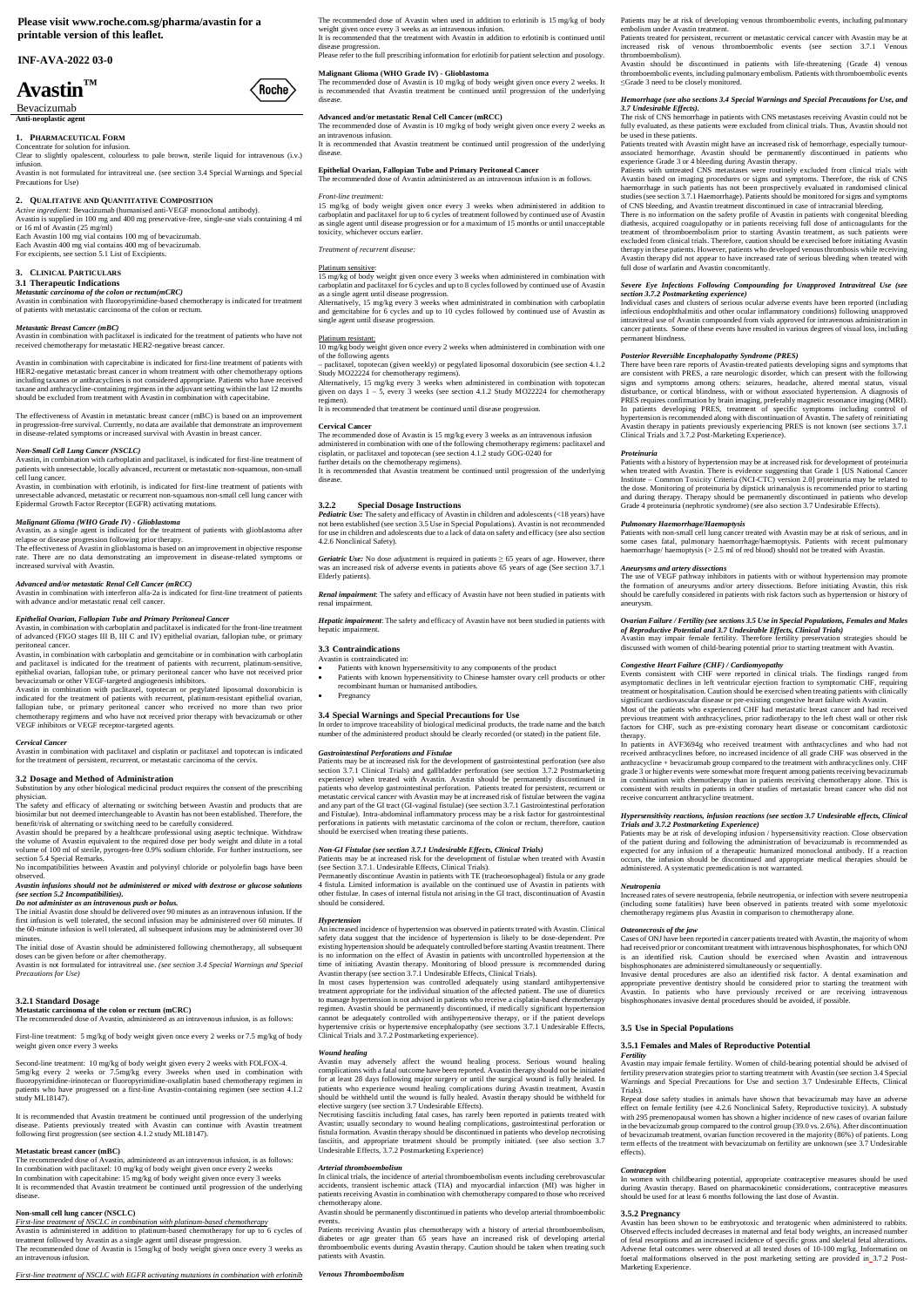**Please visit www.roche.com.sg/pharma/avastin for a printable version of this leaflet.**

## **INF-AVA-2022 03-0**

# **Avastin™**

Bevacizumab **Anti-neoplastic agent**

## **1. PHARMACEUTICAL FORM**

*Active ingredient:* Bevacizumab (humanised anti-VEGF monoclonal antibody). Avastin is supplied in 100 mg and 400 mg preservative-free, single-use vials containing 4 ml or 16 ml of Avastin  $(25 \text{ mg/ml})$ 

Concentrate for solution for infusion. Clear to slightly opalescent, colourless to pale brown, sterile liquid for intravenous (i.v.) infusion.

Avastin is not formulated for intravitreal use. (see section 3.4 Special Warnings and Special Precautions for Use)

## **2. QUALITATIVE AND QUANTITATIVE COMPOSITION**

Each Avastin 100 mg vial contains 100 mg of bevacizumab. Each Avastin 400 mg vial contains 400 mg of bevacizumab. For excipients, see section 5.1 List of Excipients.

## **3. CLINICAL PARTICULARS**

#### **3.1 Therapeutic Indications**

## *Metastatic carcinoma of the colon or rectum(mCRC)*

Avastin in combination with fluoropyrimidine-based chemotherapy is indicated for treatment of patients with metastatic carcinoma of the colon or rectum.

#### *Metastatic Breast Cancer (mBC)*

Avastin in combination with paclitaxel is indicated for the treatment of patients who have not received chemotherapy for metastatic HER2-negative breast cancer.

Avastin in combination with capecitabine is indicated for first-line treatment of patients with HER2-negative metastatic breast cancer in whom treatment with other chemotherapy options including taxanes or anthracyclines is not considered appropriate. Patients who have received taxane and anthracycline-containing regimens in the adjuvant setting within the last 12 months should be excluded from treatment with Avastin in combination with capecitabine.

The effectiveness of Avastin in metastatic breast cancer (mBC) is based on an improvement in progression-free survival. Currently, no data are available that demonstrate an improvement in disease-related symptoms or increased survival with Avastin in breast cancer.

#### *Non-Small Cell Lung Cancer (NSCLC)*

Avastin, in combination with carboplatin and paclitaxel, is indicated for first-line treatment of patients with unresectable, locally advanced, recurrent or metastatic non-squamous, non-small cell lung cancer.

Avastin should be prepared by a healthcare professional using aseptic technique. Withdraw the volume of Avastin equivalent to the required dose per body weight and dilute in a total volume of 100 ml of sterile, pyrogen-free 0.9% sodium chloride. For further instructions, see

Avastin, in combination with erlotinib, is indicated for first-line treatment of patients with unresectable advanced, metastatic or recurrent non-squamous non-small cell lung cancer with Epidermal Growth Factor Receptor (EGFR) activating mutations.

*Malignant Glioma (WHO Grade IV) - Glioblastoma* Avastin, as a single agent is indicated for the treatment of patients with glioblastoma after relapse or disease progression following prior therapy. The effectiveness of Avastin in glioblastoma is based on an improvement in objective response

The initial Avastin dose should be delivered over 90 minutes as an intravenous infusion. If the first infusion is well tolerated, the second infusion may be administered over 60 minutes. If the 60-minute infusion is well tolerated, all subsequent infusions may be administered over 30 minutes

rate. There are no data demonstrating an improvement in disease-related symptoms or increased survival with Avastin.

The initial dose of Avastin should be administered following chemotherapy, all subsequent doses can be given before or after chemotherapy. Avastin is not formulated for intravitreal use. *(see section 3.4 Special Warnings and Special*

#### *Advanced and/or metastatic Renal Cell Cancer (mRCC)*

Avastin in combination with interferon alfa-2a is indicated for first-line treatment of patients with advance and/or metastatic renal cell cancer.

#### *Epithelial Ovarian, Fallopian Tube and Primary Peritoneal Cancer*

Avastin, in combination with carboplatin and paclitaxel is indicated for the front-line treatment of advanced (FIGO stages III B, III C and IV) epithelial ovarian, fallopian tube, or primary peritoneal cancer.

Avastin, in combination with carboplatin and gemcitabine or in combination with carboplatin and paclitaxel is indicated for the treatment of patients with recurrent, platinum-sensitive, epithelial ovarian, fallopian tube, or primary peritoneal cancer who have not received prior bevacizumab or other VEGF-targeted angiogenesis inhibitors.

Avastin in combination with paclitaxel, topotecan or pegylated liposomal doxorubicin is indicated for the treatment of patients with recurrent, platinum-resistant epithelial ovarian, fallopian tube, or primary peritoneal cancer who received no more than two prior chemotherapy regimens and who have not received prior therapy with bevacizumab or other VEGF inhibitors or VEGF receptor-targeted agents.

*Cervical Cancer* Avastin in combination with paclitaxel and cisplatin or paclitaxel and topotecan is indicated for the treatment of persistent, recurrent, or metastatic carcinoma of the cervix.

## **3.2 Dosage and Method of Administration**

Substitution by any other biological medicinal product requires the consent of the prescribing physician.

The safety and efficacy of alternating or switching between Avastin and products that are biosimilar but not deemed interchangeable to Avastin has not been established. Therefore, the benefit/risk of alternating or switching need to be carefully considered.

section 5.4 Special Remarks. No incompatibilities between Avastin and polyvinyl chloride or polyolefin bags have been observed.

It is recommended that Avastin treatment be continued until progression of the underlying disease

### *Avastin infusions should not be administered or mixed with dextrose or glucose solutions (see section 5.2 Incompatibilities).*

*Do not administer as an intravenous push or bolus.*

*Geriatric Use:* No dose adjustment is required in patients  $\geq 65$  years of age. However, there was an increased risk of adverse events in patients above 65 years of age (See section 3.7.1 Elderly patients).

*Precautions for Use)*

#### **3.2.1 Standard Dosage Metastatic carcinoma of the colon or rectum (mCRC)**

The recommended dose of Avastin, administered as an intravenous infusion, is as follows:

First-line treatment: 5 mg/kg of body weight given once every 2 weeks or 7.5 mg/kg of body weight given once every 3 weeks

## Second-line treatment: 10 mg/kg of body weight given every 2 weeks with FOLFOX-4. 5mg/kg every 2 weeks or 7.5mg/kg every 3weeks when used in combination with fluoropyrimidine-irinotecan or fluoropyrimidine-oxaliplatin based chemotherapy regimen in patients who have progressed on a first-line Avastin-containing regimen (see section 4.1.2 study ML18147).

It is recommended that Avastin treatment be continued until progression of the underlying disease. Patients previously treated with Avastin can continue with Avastin treatment following first progression (see section 4.1.2 study ML18147).

#### **Metastatic breast cancer (mBC)**

The recommended dose of Avastin, administered as an intravenous infusion, is as follows: In combination with paclitaxel: 10 mg/kg of body weight given once every 2 weeks In combination with capecitabine: 15 mg/kg of body weight given once every 3 weeks It is recommended that Avastin treatment be continued until progression of the underlying disease.

## **Non-small cell lung cancer (NSCLC)**

*First-line treatment of NSCLC in combination with platinum-based chemotherapy* Avastin is administered in addition to platinum-based chemotherapy for up to 6 cycles of treatment followed by Avastin as a single agent until disease progression. The recommended dose of Avastin is 15mg/kg of body weight given once every 3 weeks as an intravenous infusion.

*First-line treatment of NSCLC with EGFR activating mutations in combination with erlotinib*

The recommended dose of Avastin when used in addition to erlotinib is 15 mg/kg of body weight given once every 3 weeks as an intravenous infusion.

It is recommended that the treatment with Avastin in addition to erlotinib is continued until disease progression. Please refer to the full prescribing information for erlotinib for patient selection and posology.

### **Malignant Glioma (WHO Grade IV) - Glioblastoma**

The recommended dose of Avastin is 10 mg/kg of body weight given once every 2 weeks. It is recommended that Avastin treatment be continued until progression of the underlying disease.

## **Advanced and/or metastatic Renal Cell Cancer (mRCC)**

The risk of CNS hemorrhage in patients with CNS metastases receiving Avastin could not be fully evaluated, as these patients were excluded from clinical trials. Thus, Avastin should not be used in these patients.

The recommended dose of Avastin is 10 mg/kg of body weight given once every 2 weeks as an intravenous infusion.

It is recommended that Avastin treatment be continued until progression of the underlying disease.

## **Epithelial Ovarian, Fallopian Tube and Primary Peritoneal Cancer**

The recommended dose of Avastin administered as an intravenous infusion is as follows.

## *Front-line treatment:*

(Roche)

15 mg/kg of body weight given once every 3 weeks when administered in addition to carboplatin and paclitaxel for up to 6 cycles of treatment followed by continued use of Avastin as single agent until disease progression or for a maximum of 15 months or until unacceptable toxicity, whichever occurs earlier.

*Treatment of recurrent disease:*

#### Platinum sensitive:

15 mg/kg of body weight given once every 3 weeks when administered in combination with carboplatin and paclitaxel for 6 cycles and up to 8 cycles followed by continued use of Avastin as a single agent until disease progression.

Alternatively, 15 mg/kg every 3 weeks when administrated in combination with carboplatin and gemcitabine for 6 cycles and up to 10 cycles followed by continued use of Avastin as single agent until disease progression.

#### Platinum resistant:

10 mg/kg body weight given once every 2 weeks when administered in combination with one of the following agents

– paclitaxel, topotecan (given weekly) or pegylated liposomal doxorubicin (see section 4.1.2 Study MO22224 for chemotherapy regimens).

Alternatively, 15 mg/kg every 3 weeks when administered in combination with topotecan given on days 1 – 5, every 3 weeks (see section 4.1.2 Study MO22224 for chemotherapy regimen).

It is recommended that treatment be continued until disease progression.

## **Cervical Cancer**

The recommended dose of Avastin is 15 mg/kg every 3 weeks as an intravenous infusion administered in combination with one of the following chemotherapy regimens: paclitaxel and cisplatin, or paclitaxel and topotecan (see section 4.1.2 study GOG-0240 for further details on the chemotherapy regimens).

## **3.2.2 Special Dosage Instructions**

*Pediatric Use:* The safety and efficacy of Avastin in children and adolescents (<18 years) have not been established (see section 3.5 Use in Special Populations). Avastin is not recommended for use in children and adolescents due to a lack of data on safety and efficacy (see also section 4.2.6 Nonclinical Safety).

*Renal impairment*: The safety and efficacy of Avastin have not been studied in patients with renal impairment.

*Hepatic impairment*: The safety and efficacy of Avastin have not been studied in patients with hepatic impairment.

#### **3.3 Contraindications**

Avastin is contraindicated in:

- Patients with known hypersensitivity to any components of the product Patients with known hypersensitivity to Chinese hamster ovary cell products or other recombinant human or humanised antibodies.
- Pregnancy

# **3.4 Special Warnings and Special Precautions for Use**

In order to improve traceability of biological medicinal products, the trade name and the batch number of the administered product should be clearly recorded (or stated) in the patient file.

*Gastrointestinal Perforations and Fistulae* Patients may be at increased risk for the development of gastrointestinal perforation (see also section 3.7.1 Clinical Trials) and gallbladder perforation (see section 3.7.2 Postmarketing experience) when treated with Avastin. Avastin should be permanently discontinued in patients who develop gastrointestinal perforation. Patients treated for persistent, recurrent or metastatic cervical cancer with Avastin may be at increased risk of fistulae between the vagina and any part of the GI tract (GI-vaginal fistulae) (see section 3.7.1 Gastrointestinal perforation and Fistulae). Intra-abdominal inflammatory process may be a risk factor for gastrointestinal perforations in patients with metastatic carcinoma of the colon or rectum, therefore, caution should be exercised when treating these patients.

## *Non-GI Fistulae (see section 3.7.1 Undesirable Effects, Clinical Trials)*

Patients may be at increased risk for the development of fistulae when treated with Avastin (see Section 3.7.1. Undesirable Effects, Clinical Trials).

Permanently discontinue Avastin in patients with TE (tracheoesophageal) fistula or any grade 4 fistula. Limited information is available on the continued use of Avastin in patients with other fistulae. In cases of internal fistula not arising in the GI tract, discontinuation of Avastin should be considered.

#### *Hypertension*

An increased incidence of hypertension was observed in patients treated with Avastin. Clinical safety data suggest that the incidence of hypertension is likely to be dose-dependent. Pre existing hypertension should be adequately controlled before starting Avastin treatment. There is no information on the effect of Avastin in patients with uncontrolled hypertension at the time of initiating Avastin therapy. Monitoring of blood pressure is recommended during Avastin therapy (see section 3.7.1 Undesirable Effects, Clinical Trials).

In most cases hypertension was controlled adequately using standard antihypertensive treatment appropriate for the individual situation of the affected patient. The use of diuretics to manage hypertension is not advised in patients who receive a cisplatin-based chemotherapy regimen. Avastin should be permanently discontinued, if medically significant hypertension cannot be adequately controlled with antihypertensive therapy, or if the patient develops hypertensive crisis or hypertensive encephalopathy (see sections 3.7.1 Undesirable Effects, Clinical Trials and 3.7.2 Postmarketing experience).

## *Wound healing*

Avastin may adversely affect the wound healing process. Serious wound healing complications with a fatal outcome have been reported. Avastin therapy should not be initiated for at least 28 days following major surgery or until the surgical wound is fully healed. In patients who experience wound healing complications during Avastin treatment, Avastin should be withheld until the wound is fully healed. Avastin therapy should be withheld for elective surgery (see section 3.7 Undesirable Effects).

Necrotising fasciitis including fatal cases, has rarely been reported in patients treated with Avastin; usually secondary to wound healing complications, gastrointestinal perforation or fistula formation. Avastin therapy should be discontinued in patients who develop necrotising fasciitis, and appropriate treatment should be promptly initiated. (see also section 3.7 Undesirable Effects, 3.7.2 Postmarketing Experience)

#### *Arterial thromboembolism*

In clinical trials, the incidence of arterial thromboembolism events including cerebrovascular accidents, transient ischemic attack (TIA) and myocardial infarction (MI) was higher in patients receiving Avastin in combination with chemotherapy compared to those who received chemotherapy alone.

Avastin should be permanently discontinued in patients who develop arterial thromboembolic events.

Patients receiving Avastin plus chemotherapy with a history of arterial thromboembolism, diabetes or age greater than 65 years have an increased risk of developing arterial thromboembolic events during Avastin therapy. Caution should be taken when treating such patients with Avastin.

*Venous Thromboembolism*

Patients may be at risk of developing venous thromboembolic events, including pulmonary embolism under Avastin treatment.

Patients treated for persistent, recurrent or metastatic cervical cancer with Avastin may be at increased risk of venous thromboembolic events (see section 3.7.1 Venous thromboembolism).

Avastin should be discontinued in patients with life-threatening (Grade 4) venous thromboembolic events, including pulmonary embolism. Patients with thromboembolic events ≤Grade 3 need to be closely monitored.

## *Hemorrhage (see also sections 3.4 Special Warnings and Special Precautions for Use, and 3.7 Undesirable Effects).*

Patients treated with Avastin might have an increased risk of hemorrhage, especially tumourassociated hemorrhage. Avastin should be permanently discontinued in patients who experience Grade 3 or 4 bleeding during Avastin therapy.

Patients with untreated CNS metastases were routinely excluded from clinical trials with Avastin based on imaging procedures or signs and symptoms. Therefore, the risk of CNS haemorrhage in such patients has not been prospectively evaluated in randomised clinical studies (see section 3.7.1 Haemorrhage). Patients should be monitored for signs and symptoms of CNS bleeding, and Avastin treatment discontinued in case of intracranial bleeding.

There is no information on the safety profile of Avastin in patients with congenital bleeding diathesis, acquired coagulopathy or in patients receiving full dose of anticoagulants for the treatment of thromboembolism prior to starting Avastin treatment, as such patients were excluded from clinical trials. Therefore, caution should be exercised before initiating Avastin therapy in these patients. However, patients who developed venous thrombosis while receiving Avastin therapy did not appear to have increased rate of serious bleeding when treated with full dose of warfarin and Avastin concomitantly.

# *Severe Eye Infections Following Compounding for Unapproved Intravitreal Use (see section 3.7.2 Postmarketing experience)* Individual cases and clusters of serious ocular adverse events have been reported (including

infectious endophthalmitis and other ocular inflammatory conditions) following unapproved intravitreal use of Avastin compounded from vials approved for intravenous administration in cancer patients. Some of these events have resulted in various degrees of visual loss, including permanent blindness.

## *Posterior Reversible Encephalopathy Syndrome (PRES)*

There have been rare reports of Avastin-treated patients developing signs and symptoms that are consistent with PRES, a rare neurologic disorder, which can present with the following signs and symptoms among others: seizures, headache, altered mental status, visual disturbance, or cortical blindness, with or without associated hypertension. A diagnosis of PRES requires confirmation by brain imaging, preferably magnetic resonance imaging (MRI). In patients developing PRES, treatment of specific symptoms including control of hypertension is recommended along with discontinuation of Avastin. The safety of reinitiating Avastin therapy in patients previously experiencing PRES is not known (see sections 3.7.1 Clinical Trials and 3.7.2 Post-Marketing Experience).

#### *Proteinuria*

Patients with a history of hypertension may be at increased risk for development of proteinuria when treated with Avastin. There is evidence suggesting that Grade 1 [US National Cancer Institute – Common Toxicity Criteria (NCI-CTC) version 2.0] proteinuria may be related to the dose. Monitoring of proteinuria by dipstick urinanalysis is recommended prior to starting and during therapy. Therapy should be permanently discontinued in patients who develop Grade 4 proteinuria (nephrotic syndrome) (see also section 3.7 Undesirable Effects).

#### *Pulmonary Haemorrhage/Haemoptysis*

Patients with non-small cell lung cancer treated with Avastin may be at risk of serious, and in some cases fatal, pulmonary haemorrhage/haemoptysis. Patients with recent pulmonary haemorrhage/ haemoptysis (> 2.5 ml of red blood) should not be treated with Avastin.

*Aneurysms and artery dissections* The use of VEGF pathway inhibitors in patients with or without hypertension may promote the formation of aneurysms and/or artery dissections. Before initiating Avastin, this risk should be carefully considered in patients with risk factors such as hypertension or history of

aneurysm.

*Ovarian Failure / Fertility (see sections 3.5 Use in Special Populations, Females and Males of Reproductive Potential and 3.7 Undesirable Effects, Clinical Trials)* Avastin may impair female fertility. Therefore fertility preservation strategies should be discussed with women of child-bearing potential prior to starting treatment with Avastin.

*Congestive Heart Failure (CHF) / Cardiomyopathy*

Events consistent with CHF were reported in clinical trials. The findings ranged from asymptomatic declines in left ventricular ejection fraction to symptomatic CHF, requiring treatment or hospitalisation. Caution should be exercised when treating patients with clinically significant cardiovascular disease or pre-existing congestive heart failure with Avastin. Most of the patients who experienced CHF had metastatic breast cancer and had received previous treatment with anthracyclines, prior radiotherapy to the left chest wall or other risk factors for CHF, such as pre-existing coronary heart disease or concomitant cardiotoxic

therapy.

In patients in AVF3694g who received treatment with anthracyclines and who had not received anthracyclines before, no increased incidence of all grade CHF was observed in the anthracycline + bevacizumab group compared to the treatment with anthracyclines only. CHF grade 3 or higher events were somewhat more frequent among patients receiving bevacizumab in combination with chemotherapy than in patients receiving chemotherapy alone. This is consistent with results in patients in other studies of metastatic breast cancer who did not

receive concurrent anthracycline treatment.

*Hypersensitivity reactions, infusion reactions (see section 3.7 Undesirable effects, Clinical Trials and 3.7.2 Postmarketing Experience)* Patients may be at risk of developing infusion / hypersensitivity reaction. Close observation of the patient during and following the administration of bevacizumab is recommended as expected for any infusion of a therapeutic humanized monoclonal antibody. If a reaction occurs, the infusion should be discontinued and appropriate medical therapies should be

administered. A systematic premedication is not warranted.

*Neutropenia*

Increased rates of severe neutropenia, febrile neutropenia, or infection with severe neutropenia (including some fatalities) have been observed in patients treated with some myelotoxic

chemotherapy regimens plus Avastin in comparison to chemotherapy alone.

*Osteonecrosis of the jaw*

Cases of ONJ have been reported in cancer patients treated with Avastin, the majority of whom had received prior or concomitant treatment with intravenous bisphosphonates, for which ONJ is an identified risk. Caution should be exercised when Avastin and intravenous

bisphosphonates are administered simultaneously or sequentially.

Invasive dental procedures are also an identified risk factor. A dental examination and

appropriate preventive dentistry should be considered prior to starting the treatment with Avastin. In patients who have previously received or are receiving intravenous bisphosphonates invasive dental procedures should be avoided, if possible.

## **3.5 Use in Special Populations**

## **3.5.1 Females and Males of Reproductive Potential** *Fertility*

Avastin may impair female fertility. Women of child-bearing potential should be advised of fertility preservation strategies prior to starting treatment with Avastin (see section 3.4 Special Warnings and Special Precautions for Use and section 3.7 Undesirable Effects, Clinical Trials).

Repeat dose safety studies in animals have shown that bevacizumab may have an adverse effect on female fertility (see 4.2.6 Nonclinical Safety, Reproductive toxicity). A substudy with 295 premenopausal women has shown a higher incidence of new cases of ovarian failure in the bevacizumab group compared to the control group (39.0 vs. 2.6%). After discontinuation of bevacizumab treatment, ovarian function recovered in the majority (86%) of patients. Long term effects of the treatment with bevacizumab on fertility are unknown (see 3.7 Undesirable effects).

#### *Contraception*

In women with childbearing potential, appropriate contraceptive measures should be used during Avastin therapy. Based on pharmacokinetic considerations, contraceptive measures should be used for at least 6 months following the last dose of Avastin.

## **3.5.2 Pregnancy**

Avastin has been shown to be embryotoxic and teratogenic when administered to rabbits. Observed effects included decreases in maternal and fetal body weights, an increased number of fetal resorptions and an increased incidence of specific gross and skeletal fetal alterations. Adverse fetal outcomes were observed at all tested doses of 10-100 mg/kg. Information on foetal malformations observed in the post marketing setting are provided in 3.7.2 Post-Marketing Experience.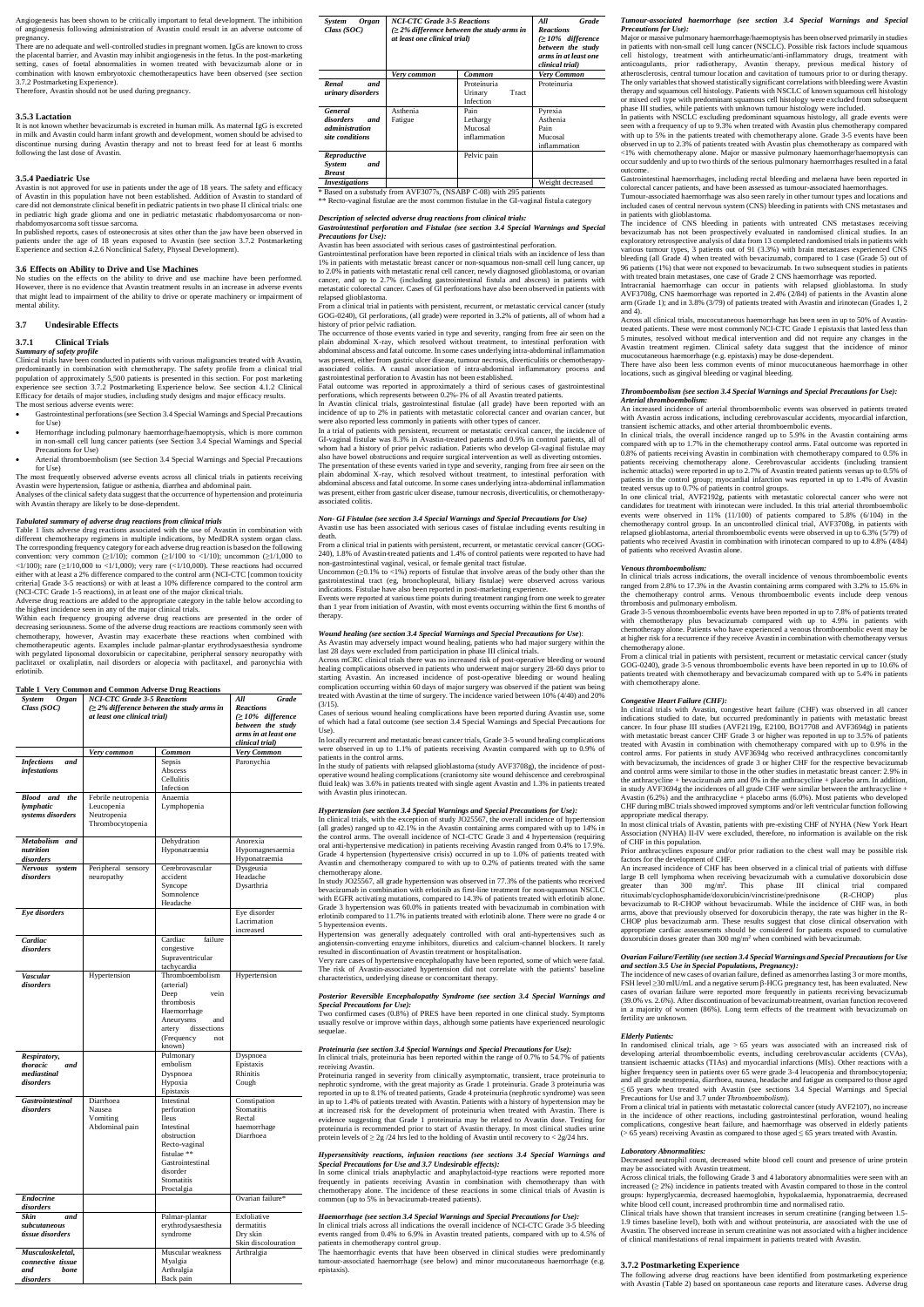Angiogenesis has been shown to be critically important to fetal development. The inhibition of angiogenesis following administration of Avastin could result in an adverse outcome of pregnancy.

There are no adequate and well-controlled studies in pregnant women. IgGs are known to cross the placental barrier, and Avastin may inhibit angiogenesis in the fetus. In the post-marketing setting, cases of foetal abnormalities in women treated with bevacizumab alone or in combination with known embryotoxic chemotherapeutics have been observed (see section 3.7.2 Postmarketing Experience).

Therefore, Avastin should not be used during pregnancy.

#### **3.5.3 Lactation**

It is not known whether bevacizumab is excreted in human milk. As maternal IgG is excreted in milk and Avastin could harm infant growth and development, women should be advised to discontinue nursing during Avastin therapy and not to breast feed for at least 6 months following the last dose of Avastin.

### **3.5.4 Paediatric Use**

*Summary of safety profile* Clinical trials have been conducted in patients with various malignancies treated with Avastin, predominantly in combination with chemotherapy. The safety profile from a clinical trial population of approximately 5,500 patients is presented in this section. For post marketing experience see section 3.7.2 Postmarketing Experience below. See section 4.1.2 Clinical Efficacy for details of major studies, including study designs and major efficacy results. The most serious adverse events were

Avastin is not approved for use in patients under the age of 18 years. The safety and efficacy of Avastin in this population have not been established. Addition of Avastin to standard of care did not demonstrate clinical benefit in pediatric patients in two phase II clinical trials: one in pediatric high grade glioma and one in pediatric metastatic rhabdomyosarcoma or nonrhabdomyosarcoma soft tissue sarcoma.

In published reports, cases of osteonecrosis at sites other than the jaw have been observed in patients under the age of 18 years exposed to Avastin (see section 3.7.2 Postmarketing Experience and section 4.2.6 Nonclinical Safety, Physeal Development).

## **3.6 Effects on Ability to Drive and Use Machines**

No studies on the effects on the ability to drive and use machine have been performed. However, there is no evidence that Avastin treatment results in an increase in adverse events that might lead to impairment of the ability to drive or operate machinery or impairment of mental ability.

## **3.7 Undesirable Effects**

## **3.7.1 Clinical Trials**

- Gastrointestinal perforations (see Section 3.4 Special Warnings and Special Precautions for Use)
- Hemorrhage including pulmonary haemorrhage/haemoptysis, which is more common in non-small cell lung cancer patients (see Section 3.4 Special Warnings and Special Precautions for Use)
- Arterial thromboembolism (see Section 3.4 Special Warnings and Special Precautions for Use)

The most frequently observed adverse events across all clinical trials in patients receiving Avastin were hypertension, fatigue or asthenia, diarrhea and abdominal pain.

Analyses of the clinical safety data suggest that the occurrence of hypertension and proteinuria with Avastin therapy are likely to be dose-dependent.

## *Tabulated summary of adverse drug reactions from clinical trials*

Table 1 lists adverse drug reactions associated with the use of Avastin in combination with different chemotherapy regimens in multiple indications, by MedDRA system organ class. The corresponding frequency category for each adverse drug reaction is based on the following convention: very common  $(\geq 1/10)$ ; common  $(\geq 1/100$  to  $\lt 1/10)$ ; uncommon  $(\geq 1/1,000$  to <1/100); rare ( $\geq$ 1/10,000 to <1/1,000); very rare (<1/10,000). These reactions had occurred either with at least a 2% difference compared to the control arm (NCI-CTC [common toxicity criteria] Grade 3-5 reactions) or with at least a 10% difference compared to the control arm (NCI-CTC Grade 1-5 reactions), in at least one of the major clinical trials.

Adverse drug reactions are added to the appropriate category in the table below according to the highest incidence seen in any of the major clinical trials.

Within each frequency grouping adverse drug reactions are presented in the order of decreasing seriousness. Some of the adverse drug reactions are reactions commonly seen with chemotherapy, however, Avastin may exacerbate these reactions when combined with chemotherapeutic agents. Examples include palmar-plantar erythrodysaesthesia syndrome with pegylated liposomal doxorubicin or capecitabine, peripheral sensory neuropathy with paclitaxel or oxaliplatin, nail disorders or alopecia with paclitaxel, and paronychia with erlotinib.

## **Table 1 Very Common and Common Adverse Drug Reactions**

| <b>System</b><br>Organ<br>Class $(SOC)$                           | <b>NCI-CTC Grade 3-5 Reactions</b><br>$\geq$ 2% difference between the study arms in<br>at least one clinical trial) | All<br>Grade<br><b>Reactions</b><br>$\geq$ 10% difference<br>between the study<br>arms in at least one<br>clinical trial)                                         |                                                                  |
|-------------------------------------------------------------------|----------------------------------------------------------------------------------------------------------------------|-------------------------------------------------------------------------------------------------------------------------------------------------------------------|------------------------------------------------------------------|
|                                                                   | Very common                                                                                                          | Common                                                                                                                                                            | Very Common                                                      |
| <b>Infections</b><br>and<br>infestations                          |                                                                                                                      | Sepsis<br>Abscess<br>Cellulitis<br>Infection                                                                                                                      | Paronychia                                                       |
| Blood<br>and<br>the<br>lymphatic<br>systems disorders             | Febrile neutropenia<br>Leucopenia<br>Neutropenia<br>Thrombocytopenia                                                 | Anaemia<br>Lymphopenia                                                                                                                                            |                                                                  |
| Metabolism and<br>nutrition<br>disorders                          |                                                                                                                      | Dehydration<br>Hyponatraemia                                                                                                                                      | Anorexia<br>Hypomagnesaemia<br>Hyponatraemia                     |
| <b>Nervous</b><br>system<br>disorders                             | Peripheral sensory<br>neuropathy                                                                                     | Cerebrovascular<br>accident<br>Syncope<br>Somnolence<br>Headache                                                                                                  | Dysgeusia<br>Headache<br>Dysarthria                              |
| Eye disorders                                                     |                                                                                                                      |                                                                                                                                                                   | Eye disorder<br>Lacrimation<br>increased                         |
| Cardiac<br>disorders                                              |                                                                                                                      | Cardiac<br>failure<br>congestive<br>Supraventricular<br>tachycardia                                                                                               |                                                                  |
| <b>Vascular</b><br><i>disorders</i>                               | Hypertension                                                                                                         | Thromboembolism<br>(arterial)<br>Deep<br>vein<br>thrombosis<br>Haemorrhage<br>Aneurysms<br>and<br>dissections<br>artery<br>(Frequency<br>not<br>known)            | Hypertension                                                     |
| Respiratory,<br>thoracic<br>and<br>mediastinal<br>disorders       |                                                                                                                      | Pulmonary<br>embolism<br>Dyspnoea<br>Hypoxia<br>Epistaxis                                                                                                         | Dyspnoea<br>Epistaxis<br>Rhinitis<br>Cough                       |
| <b>Gastrointestinal</b><br>disorders                              | Diarrhoea<br>Nausea<br>Vomiting<br>Abdominal pain                                                                    | Intestinal<br>perforation<br><b>Ileus</b><br>Intestinal<br>obstruction<br>Recto-vaginal<br>fistulae**<br>Gastrointestinal<br>disorder<br>Stomatitis<br>Proctalgia | Constipation<br>Stomatitis<br>Rectal<br>haemorrhage<br>Diarrhoea |
| <b>Endocrine</b>                                                  |                                                                                                                      |                                                                                                                                                                   | Ovarian failure*                                                 |
| disorders<br>Skin<br>and<br>subcutaneous<br>tissue disorders      |                                                                                                                      | Palmar-plantar<br>erythrodysaesthesia<br>syndrome                                                                                                                 | Exfoliative<br>dermatitis<br>Dry skin<br>Skin discolouration     |
| Musculoskeletal,<br>connective tissue<br>and<br>bone<br>disorders |                                                                                                                      | Muscular weakness<br>Myalgia<br>Arthralgia<br>Back pain                                                                                                           | Arthralgia                                                       |

| <b>Organ</b><br><b>System</b><br>Class $(SOC)$                                 | <b>NCI-CTC Grade 3-5 Reactions</b><br>$\geq$ 2% difference between the study arms in<br>at least one clinical trial) | All<br><b>Grade</b><br><b>Reactions</b><br>$\geq$ 10% difference<br>between the study<br>arms in at least one<br>clinical trial) |                                                        |
|--------------------------------------------------------------------------------|----------------------------------------------------------------------------------------------------------------------|----------------------------------------------------------------------------------------------------------------------------------|--------------------------------------------------------|
|                                                                                | Very common                                                                                                          | Common                                                                                                                           | Very Common                                            |
| Renal<br>and<br>urinary disorders                                              |                                                                                                                      | Proteinuria<br>Urinary<br>Tract<br>Infection                                                                                     | Proteinuria                                            |
| <b>General</b><br>disorders<br>and<br><i>administration</i><br>site conditions | Asthenia<br>Fatigue                                                                                                  | Pain<br>Lethargy<br>Mucosal<br>inflammation                                                                                      | Pyrexia<br>Asthenia<br>Pain<br>Mucosal<br>inflammation |
| Reproductive<br><b>System</b><br>and<br><b>Breast</b>                          |                                                                                                                      | Pelvic pain                                                                                                                      |                                                        |
| <i>Investigations</i>                                                          |                                                                                                                      |                                                                                                                                  | Weight decreased                                       |

Two confirmed cases (0.8%) of PRES have been reported in one clinical study. Symptoms usually resolve or improve within days, although some patients have experienced neurologic sequelae

\* Based on a substudy from AVF3077s, (NSABP C-08) with 295 patients \*\* Recto-vaginal fistulae are the most common fistulae in the GI-vaginal fistula category

In clinical trials, proteinuria has been reported within the range of  $0.7\%$  to 54.7% of patients receiving Avastin.

Proteinuria ranged in severity from clinically asymptomatic, transient, trace proteinuria to nephrotic syndrome, with the great majority as Grade 1 proteinuria. Grade 3 proteinuria was reported in up to 8.1% of treated patients, Grade 4 proteinuria (nephrotic syndrome) was seen in up to 1.4% of patients treated with Avastin. Patients with a history of hypertension may be at increased risk for the development of proteinuria when treated with Avastin. There is evidence suggesting that Grade 1 proteinuria may be related to Avastin dose. Testing for proteinuria is recommended prior to start of Avastin therapy. In most clinical studies urine protein levels of  $\geq 2g/24$  hrs led to the holding of Avastin until recovery to  $\lt 2g/24$  hrs.

*Description of selected adverse drug reactions from clinical trials:*

*Gastrointestinal perforation and Fistulae (see section 3.4 Special Warnings and Special Precautions for Use):*

Avastin has been associated with serious cases of gastrointestinal perforation. Gastrointestinal perforation have been reported in clinical trials with an incidence of less than

1% in patients with metastatic breast cancer or non-squamous non-small cell lung cancer, up to 2.0% in patients with metastatic renal cell cancer, newly diagnosed glioblastoma, or ovarian cancer, and up to 2.7% (including gastrointestinal fistula and abscess) in patients with metastatic colorectal cancer. Cases of GI perforations have also been observed in patients with relapsed glioblastoma.

From a clinical trial in patients with persistent, recurrent, or metastatic cervical cancer (study GOG-0240), GI perforations, (all grade) were reported in 3.2% of patients, all of whom had a history of prior pelvic radiation.

The occurrence of those events varied in type and severity, ranging from free air seen on the plain abdominal X-ray, which resolved without treatment, to intestinal perforation with abdominal abscess and fatal outcome. In some cases underlying intra-abdominal inflammation was present, either from gastric ulcer disease, tumour necrosis, diverticulitis or chemotherapyassociated colitis. A causal association of intra-abdominal inflammatory process and

gastrointestinal perforation to Avastin has not been established. Fatal outcome was reported in approximately a third of serious cases of gastrointestinal perforations, which represents between 0.2%-1% of all Avastin treated patients.

The incidence of CNS bleeding in patients with untreated CNS metastases receiving bevacizumab has not been prospectively evaluated in randomised clinical studies. In an exploratory retrospective analysis of data from 13 completed randomised trials in patients with various tumour types, 3 patients out of 91 (3.3%) with brain metastases experienced CNS bleeding (all Grade 4) when treated with bevacizumab, compared to 1 case (Grade 5) out of 96 patients (1%) that were not exposed to bevacizumab. In two subsequent studies in patients with treated brain metastases, one case of Grade 2 CNS haemorrhage was reported.

In Avastin clinical trials, gastrointestinal fistulae (all grade) have been reported with an incidence of up to 2% in patients with metastatic colorectal cancer and ovarian cancer, but were also reported less commonly in patients with other types of cancer.

In a trial of patients with persistent, recurrent or metastatic cervical cancer, the incidence of GI-vaginal fistulae was 8.3% in Avastin-treated patients and 0.9% in control patients, all of whom had a history of prior pelvic radiation. Patients who develop GI-vaginal fistulae may also have bowel obstructions and require surgical intervention as well as diverting ostomies. The presentation of these events varied in type and severity, ranging from free air seen on the plain abdominal X-ray, which resolved without treatment, to intestinal perforation with abdominal abscess and fatal outcome. In some cases underlying intra-abdominal inflammation was present, either from gastric ulcer disease, tumour necrosis, diverticulitis, or chemotherapyassociated colitis.

#### *Non- GI Fistulae (see section 3.4 Special Warnings and Special Precautions for Use)* Avastin use has been associated with serious cases of fistulae including events resulting in death.

From a clinical trial in patients with persistent, recurrent, or metastatic cervical cancer (GOG-240), 1.8% of Avastin-treated patients and 1.4% of control patients were reported to have had non-gastrointestinal vaginal, vesical, or female genital tract fistulae.

Uncommon (≥0.1% to <1%) reports of fistulae that involve areas of the body other than the gastrointestinal tract (eg, bronchopleural, biliary fistulae) were observed across various indications. Fistulae have also been reported in post-marketing experience.

Events were reported at various time points during treatment ranging from one week to greater than 1 year from initiation of Avastin, with most events occurring within the first 6 months of therapy.

> From a clinical trial in patients with persistent, recurrent or metastatic cervical cancer (study GOG-0240), grade 3-5 venous thromboembolic events have been reported in up to 10.6% of patients treated with chemotherapy and bevacizumab compared with up to 5.4% in patients with chemotherapy alone

## *Wound healing (see section 3.4 Special Warnings and Special Precautions for Use*):

As Avastin may adversely impact wound healing, patients who had major surgery within the last 28 days were excluded from participation in phase III clinical trials.

Across mCRC clinical trials there was no increased risk of post-operative bleeding or wound healing complications observed in patients who underwent major surgery 28-60 days prior to starting Avastin. An increased incidence of post-operative bleeding or wound healing complication occurring within 60 days of major surgery was observed if the patient was being treated with Avastin at the time of surgery. The incidence varied between 10% (4/40) and 20% (3/15).

Cases of serious wound healing complications have been reported during Avastin use, some of which had a fatal outcome (see section 3.4 Special Warnings and Special Precautions for Use).

> An increased incidence of CHF has been observed in a clinical trial of patients with diffuse large B cell lymphoma when receiving bevacizumab with a cumulative doxorubicin dose greater than 300 mg/m<sup>2</sup> . This phase III clinical trial compared rituximab/cyclophosphamide/doxorubicin/vincristine/prednisone (R-CHOP) bevacizumab to R-CHOP without bevacizumab. While the incidence of CHF was, in both arms, above that previously observed for doxorubicin therapy, the rate was higher in the R-CHOP plus bevacizumab arm. These results suggest that close clinical observation with appropriate cardiac assessments should be considered for patients exposed to cumulative doxorubicin doses greater than  $300 \text{ mg/m}^2$  when combined with bevacizumab.

In locally recurrent and metastatic breast cancer trials, Grade 3-5 wound healing complications were observed in up to 1.1% of patients receiving Avastin compared with up to 0.9% of patients in the control arms.

In the study of patients with relapsed glioblastoma (study AVF3708g), the incidence of postoperative wound healing complications (craniotomy site wound dehiscence and cerebrospinal fluid leak) was 3.6% in patients treated with single agent Avastin and 1.3% in patients treated with Avastin plus irinotecan.

## *Hypertension (see section 3.4 Special Warnings and Special Precautions for Use):*

In clinical trials, with the exception of study JO25567, the overall incidence of hypertension (all grades) ranged up to 42.1% in the Avastin containing arms compared with up to 14% in the control arms. The overall incidence of NCI-CTC Grade 3 and 4 hypertension (requiring oral anti-hypertensive medication) in patients receiving Avastin ranged from 0.4% to 17.9%. Grade 4 hypertension (hypertensive crisis) occurred in up to 1.0% of patients treated with Avastin and chemotherapy compared to with up to 0.2% of patients treated with the same chemotherapy alone.

> In randomised clinical trials, age  $> 65$  years was associated with an increased risk of developing arterial thromboembolic events, including cerebrovascular accidents (CVAs), transient ischaemic attacks (TIAs) and myocardial infarctions (MIs). Other reactions with a higher frequency seen in patients over 65 were grade 3-4 leucopenia and thrombocytopenia; and all grade neutropenia, diarrhoea, nausea, headache and fatigue as compared to those aged ≤ 65 years when treated with Avastin (see sections 3.4 Special Warnings and Special Precautions for Use and 3.7 under *Thromboembolism*).

> From a clinical trial in patients with metastatic colorectal cancer (study AVF2107), no increase in the incidence of other reactions, including gastrointestinal perforation, wound healing complications, congestive heart failure, and haemorrhage was observed in elderly patients  $(> 65$  years) receiving Avastin as compared to those aged  $\leq 65$  years treated with Avastin.

In study JO25567, all grade hypertension was observed in 77.3% of the patients who received bevacizumab in combination with erlotinib as first-line treatment for non-squamous NSCLC with EGFR activating mutations, compared to 14.3% of patients treated with erlotinib alone. Grade 3 hypertension was 60.0% in patients treated with bevacizumab in combination with erlotinib compared to 11.7% in patients treated with erlotinib alone. There were no grade 4 or 5 hypertension events.

Hypertension was generally adequately controlled with oral anti-hypertensives such as angiotensin-converting enzyme inhibitors, diuretics and calcium-channel blockers. It rarely resulted in discontinuation of Avastin treatment or hospitalisation.

Very rare cases of hypertensive encephalopathy have been reported, some of which were fatal. The risk of Avastin-associated hypertension did not correlate with the patients' baseline characteristics, underlying disease or concomitant therapy.

*Posterior Reversible Encephalopathy Syndrome (see section 3.4 Special Warnings and Special Precautions for Use):*

## *Proteinuria (see section 3.4 Special Warnings and Special Precautions for Use):*

### *Hypersensitivity reactions, infusion reactions (see sections 3.4 Special Warnings and Special Precautions for Use and 3.7 Undesirable effects):*

In some clinical trials anaphylactic and anaphylactoid-type reactions were reported more frequently in patients receiving Avastin in combination with chemotherapy than with chemotherapy alone. The incidence of these reactions in some clinical trials of Avastin is common (up to 5% in bevacizumab-treated patients).

*Haemorrhage (see section 3.4 Special Warnings and Special Precautions for Use):* In clinical trials across all indications the overall incidence of NCI-CTC Grade 3-5 bleeding events ranged from 0.4% to 6.9% in Avastin treated patients, compared with up to 4.5% of patients in chemotherapy control group.

The haemorrhagic events that have been observed in clinical studies were predominantly tumour-associated haemorrhage (see below) and minor mucocutaneous haemorrhage (e.g. epistaxis).

*Tumour-associated haemorrhage (see section 3.4 Special Warnings and Special Precautions for Use):*

Major or massive pulmonary haemorrhage/haemoptysis has been observed primarily in studies in patients with non-small cell lung cancer (NSCLC). Possible risk factors include squamous cell histology, treatment with antirheumatic/anti-inflammatory drugs, treatment with anticoagulants, prior radiotherapy, Avastin therapy, previous medical history of atherosclerosis, central tumour location and cavitation of tumours prior to or during therapy. The only variables that showed statistically significant correlations with bleeding were Avastin therapy and squamous cell histology. Patients with NSCLC of known squamous cell histology or mixed cell type with predominant squamous cell histology were excluded from subsequent phase III studies, while patients with unknown tumour histology were included.

In patients with NSCLC excluding predominant squamous histology, all grade events were seen with a frequency of up to 9.3% when treated with Avastin plus chemotherapy compared with up to 5% in the patients treated with chemotherapy alone. Grade 3-5 events have been observed in up to 2.3% of patients treated with Avastin plus chemotherapy as compared with <1% with chemotherapy alone. Major or massive pulmonary haemorrhage/haemoptysis can occur suddenly and up to two thirds of the serious pulmonary haemorrhages resulted in a fatal outcome.

Gastrointestinal haemorrhages, including rectal bleeding and melaena have been reported in colorectal cancer patients, and have been assessed as tumour-associated haemorrhages.

Tumour-associated haemorrhage was also seen rarely in other tumour types and locations and included cases of central nervous system (CNS) bleeding in patients with CNS metastases and in patients with glioblastoma.

Intracranial haemorrhage can occur in patients with relapsed glioblastoma. In study AVF3708g, CNS haemorrhage was reported in 2.4% (2/84) of patients in the Avastin alone arm (Grade 1); and in 3.8% (3/79) of patients treated with Avastin and irinotecan (Grades 1, 2 and 4).

Across all clinical trials, mucocutaneous haemorrhage has been seen in up to 50% of Avastintreated patients. These were most commonly NCI-CTC Grade 1 epistaxis that lasted less than 5 minutes, resolved without medical intervention and did not require any changes in the Avastin treatment regimen. Clinical safety data suggest that the incidence of minor mucocutaneous haemorrhage (e.g. epistaxis) may be dose-dependent.

There have also been less common events of minor mucocutaneous haemorrhage in other locations, such as gingival bleeding or vaginal bleeding.

#### *Thromboembolism (see section 3.4 Special Warnings and Special Precautions for Use): Arterial thromboembolism:*

An increased incidence of arterial thromboembolic events was observed in patients treated with Avastin across indications, including cerebrovascular accidents, myocardial infarction, transient ischemic attacks, and other arterial thromboembolic events.

In clinical trials, the overall incidence ranged up to 5.9% in the Avastin containing arms compared with up to 1.7% in the chemotherapy control arms. Fatal outcome was reported in 0.8% of patients receiving Avastin in combination with chemotherapy compared to 0.5% in patients receiving chemotherapy alone. Cerebrovascular accidents (including transient ischemic attacks) were reported in up to 2.7% of Avastin treated patients versus up to 0.5% of patients in the control group; myocardial infarction was reported in up to 1.4% of Avastin treated versus up to 0.7% of patients in control groups.

In one clinical trial, AVF2192g, patients with metastatic colorectal cancer who were not candidates for treatment with irinotecan were included. In this trial arterial thromboembolic events were observed in 11% (11/100) of patients compared to 5.8% (6/104) in the chemotherapy control group. In an uncontrolled clinical trial, AVF3708g, in patients with relapsed glioblastoma, arterial thromboembolic events were observed in up to 6.3% (5/79) of patients who received Avastin in combination with irinotecan compared to up to 4.8% (4/84) of patients who received Avastin alone.

*Venous thromboembolism:* In clinical trials across indications, the overall incidence of venous thromboembolic events ranged from 2.8% to 17.3% in the Avastin containing arms compared with 3.2% to 15.6% in the chemotherapy control arms. Venous thromboembolic events include deep venous thrombosis and pulmonary embolism.

Grade 3-5 venous thromboembolic events have been reported in up to 7.8% of patients treated with chemotherapy plus bevacizumab compared with up to 4.9% in patients with chemotherapy alone. Patients who have experienced a venous thromboembolic event may be at higher risk for a recurrence if they receive Avastin in combination with chemotherapy versus chemotherapy alone.

## *Congestive Heart Failure (CHF):*

In clinical trials with Avastin, congestive heart failure (CHF) was observed in all cancer indications studied to date, but occurred predominantly in patients with metastatic breast cancer. In four phase III studies (AVF2119g, E2100, BO17708 and AVF3694g) in patients with metastatic breast cancer CHF Grade 3 or higher was reported in up to 3.5% of patients treated with Avastin in combination with chemotherapy compared with up to 0.9% in the control arms. For patients in study AVF3694g who received anthracyclines concomitantly with bevacizumab, the incidences of grade 3 or higher CHF for the respective bevacizumab and control arms were similar to those in the other studies in metastatic breast cancer: 2.9% in the anthracycline + bevacizumab arm and 0% in the anthracycline + placebo arm. In addition, in study AVF3694g the incidences of all grade CHF were similar between the anthracycline + Avastin (6.2%) and the anthracycline + placebo arms (6.0%). Most patients who developed CHF during mBC trials showed improved symptoms and/or left ventricular function following appropriate medical therapy.

In most clinical trials of Avastin, patients with pre-existing CHF of NYHA (New York Heart Association (NYHA) II-IV were excluded, therefore, no information is available on the risk of CHF in this population.

Prior anthracyclines exposure and/or prior radiation to the chest wall may be possible risk factors for the development of CHF.

# *Ovarian Failure/Fertility (see section 3.4 Special Warnings and Special Precautions for Use*

*and section 3.5 Use in Special Populations, Pregnancy):* The incidence of new cases of ovarian failure, defined as amenorrhea lasting 3 or more months, FSH level ≥30 mIU/mL and a negative serum β-HCG pregnancy test, has been evaluated. New

cases of ovarian failure were reported more frequently in patients receiving bevacizumab (39.0% vs. 2.6%). After discontinuation of bevacizumab treatment, ovarian function recovered in a majority of women (86%). Long term effects of the treatment with bevacizumab on fertility are unknown.

## *Elderly Patients:*

## *Laboratory Abnormalities:*

Decreased neutrophil count, decreased white blood cell count and presence of urine protein may be associated with Avastin treatment.

Across clinical trials, the following Grade 3 and 4 laboratory abnormalities were seen with an increased  $(≥ 2%)$  incidence in patients treated with Avastin compared to those in the control groups: hyperglycaemia, decreased haemoglobin, hypokalaemia, hyponatraemia, decreased white blood cell count, increased prothrombin time and normalised ratio.

Clinical trials have shown that transient increases in serum creatinine (ranging between 1.5- 1.9 times baseline level), both with and without proteinuria, are associated with the use of Avastin. The observed increase in serum creatinine was not associated with a higher incidence of clinical manifestations of renal impairment in patients treated with Avastin.

## **3.7.2 Postmarketing Experience**

The following adverse drug reactions have been identified from postmarketing experience with Avastin (Table 2) based on spontaneous case reports and literature cases. Adverse drug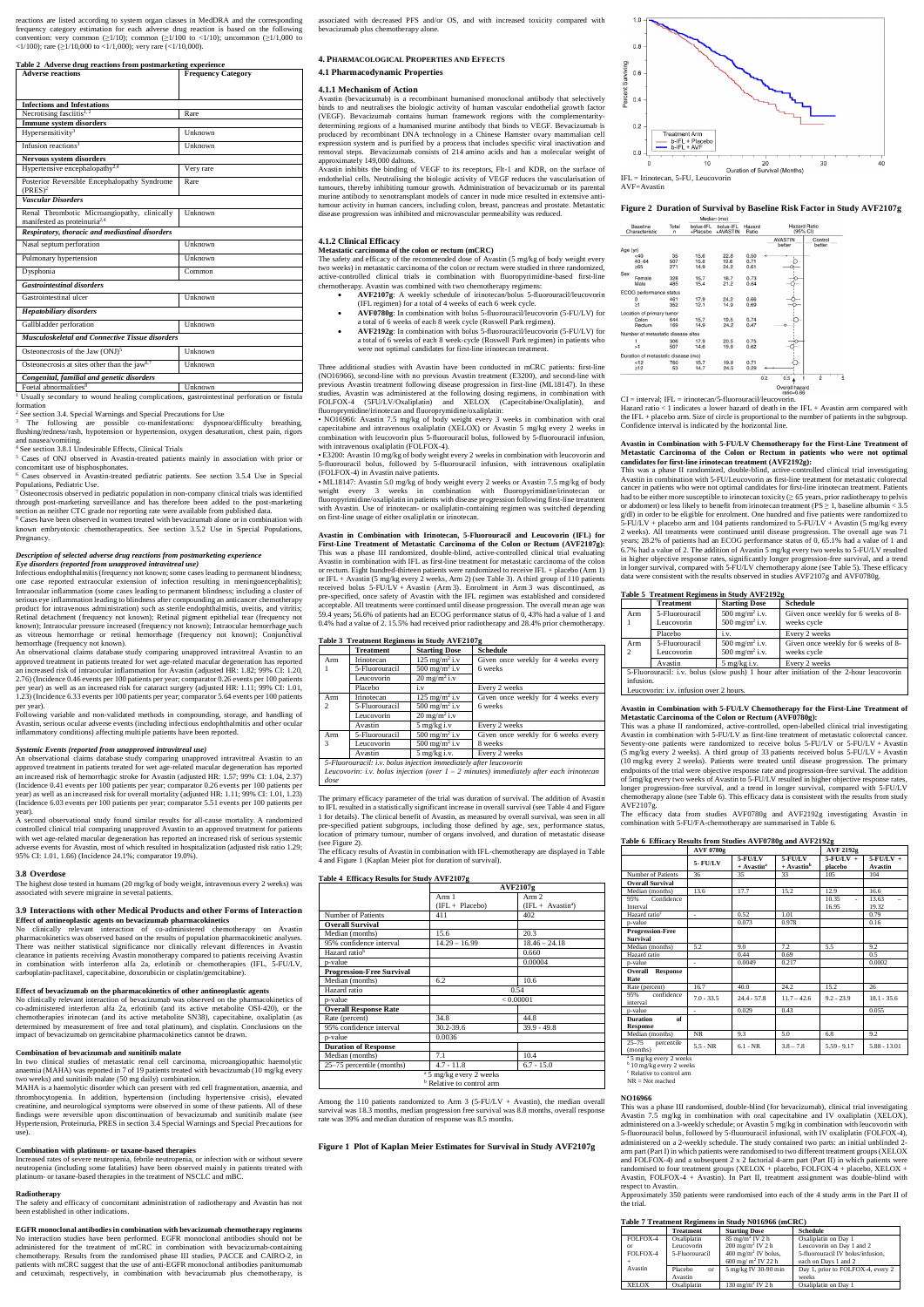reactions are listed according to system organ classes in MedDRA and the corresponding frequency category estimation for each adverse drug reaction is based on the following convention: very common  $(>1/10)$ ; common  $(>1/100)$  to  $<1/10$ ); uncommon  $(>1/1,000)$  to <1/100); rare ( $\geq$ 1/10,000 to <1/1,000); very rare (<1/10,000).

| <b>Adverse reactions</b>                                                                 | <b>Frequency Category</b> |
|------------------------------------------------------------------------------------------|---------------------------|
| <b>Infections and Infestations</b>                                                       |                           |
| Necrotising fasciitis $1, 2$                                                             | Rare                      |
| <b>Immune system disorders</b>                                                           |                           |
| Hypersensitivity <sup>3</sup>                                                            | Unknown                   |
| Infusion reactions <sup>3</sup>                                                          | Unknown                   |
| <b>Nervous system disorders</b>                                                          |                           |
| Hypertensive encephalopathy <sup>2,4</sup>                                               | Very rare                 |
| Posterior Reversible Encephalopathy Syndrome<br>(PRES) <sup>2</sup>                      | Rare                      |
| <b>Vascular Disorders</b>                                                                |                           |
| Renal Thrombotic Microangiopathy, clinically<br>manifested as proteinuria <sup>2,4</sup> | Unknown                   |
| Respiratory, thoracic and mediastinal disorders                                          |                           |
| Nasal septum perforation                                                                 | Unknown                   |
| Pulmonary hypertension                                                                   | Unknown                   |
| Dysphonia                                                                                | Common                    |
| <b>Gastrointestinal disorders</b>                                                        |                           |
| Gastrointestinal ulcer                                                                   | Unknown                   |
| <b>Hepatobiliary disorders</b>                                                           |                           |
| Gallbladder perforation                                                                  | Unknown                   |
| <b>Musculoskeletal and Connective Tissue disorders</b>                                   |                           |
| Osteonecrosis of the Jaw (ONJ) <sup>5</sup>                                              | Unknown                   |
| Osteonecrosis at sites other than the jaw <sup>6,7</sup>                                 | Unknown                   |
| Congenital, familial and genetic disorders                                               |                           |
| Foetal abnormalities <sup>8</sup>                                                        | Unknown                   |

section as neither CTC grade nor reporting rate were available from published data. 8 Cases have been observed in women treated with bevacizumab alone or in combination with known embryotoxic chemotherapeutics. See section 3.5.2 Use in Special Populations, **Pregnancy** 

1 Usually secondary to wound healing complications, gastrointestinal perforation or fistula formation

<sup>2</sup> See section 3.4. Special Warnings and Special Precautions for Use

3 The following are possible co-manifestations: dyspnoea/difficulty breathing, flushing/redness/rash, hypotension or hypertension, oxygen desaturation, chest pain, rigors and nausea/vomiting.

4 See section 3.8.1 Undesirable Effects, Clinical Trials <sup>5</sup> Cases of ONJ observed in Avastin-treated patients mainly in association with prior or concomitant use of bisphosphonates.

6 Cases observed in Avastin-treated pediatric patients. See section 3.5.4 Use in Special Populations, Pediatric Use.

7 Osteonecrosis observed in pediatric population in non-company clinical trials was identified through post-marketing surveillance and has therefore been added to the post-marketing

## *Description of selected adverse drug reactions from postmarketing experience Eye disorders (reported from unapproved intravitreal use)*

Infectious endophthalmitis (frequency not known; some cases leading to permanent blindness; one case reported extraocular extension of infection resulting in meningoencephalitis); Intraocular inflammation (some cases leading to permanent blindness; including a cluster of serious eye inflammation leading to blindness after compounding an anticancer chemotherapy product for intravenous administration) such as sterile endophthalmitis, uveitis, and vitritis; Retinal detachment (frequency not known); Retinal pigment epithelial tear (frequency not known); Intraocular pressure increased (frequency not known); Intraocular hemorrhage such as vitreous hemorrhage or retinal hemorrhage (frequency not known); Conjunctival hemorrhage (frequency not known).

An observational claims database study comparing unapproved intravitreal Avastin to an approved treatment in patients treated for wet age-related macular degeneration has reported an increased risk of intraocular inflammation for Avastin (adjusted HR: 1.82; 99% CI: 1.20, 2.76) (Incidence 0.46 events per 100 patients per year; comparator 0.26 events per 100 patients per year) as well as an increased risk for cataract surgery (adjusted HR: 1.11; 99% CI: 1.01, 1.23) (Incidence 6.33 events per 100 patients per year; comparator 5.64 events per 100 patients

per year). Following variable and non-validated methods in compounding, storage, and handling of Avastin, serious ocular adverse events (including infectious endophthalmitis and other ocular inflammatory conditions) affecting multiple patients have been reported.

## *Systemic Events (reported from unapproved intravitreal use)*

An observational claims database study comparing unapproved intravitreal Avastin to an approved treatment in patients treated for wet age-related macular degeneration has reported an increased risk of hemorrhagic stroke for Avastin (adjusted HR: 1.57; 99% CI: 1.04, 2.37) (Incidence 0.41 events per 100 patients per year; comparator 0.26 events per 100 patients per year) as well as an increased risk for overall mortality (adjusted HR: 1.11; 99% CI: 1.01, 1.23) (Incidence 6.03 events per 100 patients per year; comparator 5.51 events per 100 patients per year).

A second observational study found similar results for all-cause mortality. A randomized controlled clinical trial comparing unapproved Avastin to an approved treatment for patients with wet age-related macular degeneration has reported an increased risk of serious systemic adverse events for Avastin, most of which resulted in hospitalization (adjusted risk ratio 1.29; 95% CI: 1.01, 1.66) (Incidence 24.1%; comparator 19.0%).

## **3.8 Overdose**

The highest dose tested in humans (20 mg/kg of body weight, intravenous every 2 weeks) was associated with severe migraine in several patients.

## **3.9 Interactions with other Medical Products and other Forms of Interaction Effect of antineoplastic agents on bevacizumab pharmacokinetics**

No clinically relevant interaction of co-administered chemotherapy on Avastin pharmacokinetics was observed based on the results of population pharmacokinetic analyses. There was neither statistical significance nor clinically relevant differences in Avastin clearance in patients receiving Avastin monotherapy compared to patients receiving Avastin in combination with interferon alfa 2a, erlotinib or chemotherapies (IFL, 5-FU/LV, carboplatin-paclitaxel, capecitabine, doxorubicin or cisplatin/gemcitabine).

#### **Effect of bevacizumab on the pharmacokinetics of other antineoplastic agents**

No clinically relevant interaction of bevacizumab was observed on the pharmacokinetics of co-administered interferon alfa 2a, erlotinib (and its active metabolite OSI-420), or the contempt is interesting that the chemotherapies interests in the chemotherapies interests and its active metabolite SN38), capecitabine, oxaliplatin (as determined by measurement of free and total platinum), and cisplatin. Conclusions on the impact of bevacizumab on gemcitabine pharmacokinetics cannot be drawn.

## **Combination of bevacizumab and sunitinib malate**

In two clinical studies of metastatic renal cell carcinoma, microangiopathic haemolytic anaemia (MAHA) was reported in 7 of 19 patients treated with bevacizumab (10 mg/kg every two weeks) and sunitinib malate (50 mg daily) combination.

MAHA is a haemolytic disorder which can present with red cell fragmentation, anaemia, and thrombocytopenia. In addition, hypertension (including hypertensive crisis), elevated creatinine, and neurological symptoms were observed in some of these patients. All of these findings were reversible upon discontinuation of bevacizumab and sunitinib malate (see Hypertension, Proteinuria, PRES in section 3.4 Special Warnings and Special Precautions for use).

#### **Combination with platinum- or taxane-based therapies**

Increased rates of severe neutropenia, febrile neutropenia, or infection with or without severe neutropenia (including some fatalities) have been observed mainly in patients treated with platinum- or taxane-based therapies in the treatment of NSCLC and mBC.

#### **Radiotherapy**

Among the 110 patients randomized to Arm 3 (5-FU/LV + Avastin), the median overall survival was 18.3 months, median progression free survival was 8.8 months, overall response rate was 39% and median duration of response was 8.5 months.

The safety and efficacy of concomitant administration of radiotherapy and Avastin has not been established in other indications.

#### **EGFR monoclonal antibodies in combination with bevacizumab chemotherapy regimens**

No interaction studies have been performed. EGFR monoclonal antibodies should not be administered for the treatment of mCRC in combination with bevacizumab-containing chemotherapy. Results from the randomised phase III studies, PACCE and CAIRO-2, in patients with mCRC suggest that the use of anti-EGFR monoclonal antibodies panitumumab and cetuximab, respectively, in combination with bevacizumab plus chemotherapy, is

associated with decreased PFS and/or OS, and with increased toxicity compared with bevacizumab plus chemotherapy alone.

## **4. PHARMACOLOGICAL PROPERTIES AND EFFECTS 4.1 Pharmacodynamic Properties**

## **4.1.1 Mechanism of Action**

Avastin (bevacizumab) is a recombinant humanised monoclonal antibody that selectively binds to and neutralises the biologic activity of human vascular endothelial growth factor (VEGF). Bevacizumab contains human framework regions with the complementaritydetermining regions of a humanised murine antibody that binds to VEGF. Bevacizumab is produced by recombinant DNA technology in a Chinese Hamster ovary mammalian cell expression system and is purified by a process that includes specific viral inactivation and removal steps. Bevacizumab consists of 214 amino acids and has a molecular weight of approximately 149,000 daltons.

Avastin inhibits the binding of VEGF to its receptors, Flt-1 and KDR, on the surface of endothelial cells. Neutralising the biologic activity of VEGF reduces the vascularisation of tumours, thereby inhibiting tumour growth. Administration of bevacizumab or its parental murine antibody to xenotransplant models of cancer in nude mice resulted in extensive antitumour activity in human cancers, including colon, breast, pancreas and prostate. Metastatic disease progression was inhibited and microvascular permeability was reduced.

## **4.1.2 Clinical Efficacy**

## **Metastatic carcinoma of the colon or rectum (mCRC)**

The safety and efficacy of the recommended dose of Avastin (5 mg/kg of body weight every two weeks) in metastatic carcinoma of the colon or rectum were studied in three randomized, active-controlled clinical trials in combination with fluoropyrimidine-based first-line chemotherapy. Avastin was combined with two chemotherapy regimens:

- **AVF2107g**: A weekly schedule of irinotecan/bolus 5-fluorouracil/leucovorin (IFL regimen) for a total of 4 weeks of each 6 week cycle.
- **AVF0780g**: In combination with bolus 5-fluorouracil/leucovorin (5-FU/LV) for a total of 6 weeks of each 8 week cycle (Roswell Park regimen).
- **AVF2192g**: In combination with bolus 5-fluorouracil/leucovorin (5-FU/LV) for a total of 6 weeks of each 8 week-cycle (Roswell Park regimen) in patients who were not optimal candidates for first-line irinotecan treatment.

Three additional studies with Avastin have been conducted in mCRC patients: first-line (NO16966), second-line with no previous Avastin treatment (E3200), and second-line with previous Avastin treatment following disease progression in first-line (ML18147). In these studies, Avastin was administered at the following dosing regimens, in combination with FOLFOX-4 (5FU/LV/Oxaliplatin) and XELOX (Capecitabine/Oxaliplatin), and fluoroprymidine/irinotecan and fluoroprymidine/oxaliplatin:

• NO16966: Avastin 7.5 mg/kg of body weight every 3 weeks in combination with oral capecitabine and intravenous oxaliplatin (XELOX) or Avastin 5 mg/kg every 2 weeks in combination with leucovorin plus 5-fluorouracil bolus, followed by 5-fluorouracil infusion, with intravenous oxaliplatin (FOLFOX-4).

• E3200: Avastin 10 mg/kg of body weight every 2 weeks in combination with leucovorin and 5-fluorouracil bolus, followed by 5-fluorouracil infusion, with intravenous oxaliplatin (FOLFOX-4) in Avastin naïve patients.

• ML18147: Avastin 5.0 mg/kg of body weight every 2 weeks or Avastin 7.5 mg/kg of body weight every 3 weeks in combination with fluoropyrimidine/irinotecan or fluoropyrimidine/oxaliplatin in patients with disease progression following first-line treatment with Avastin. Use of irinotecan- or oxaliplatin-containing regimen was switched depending on first-line usage of either oxaliplatin or irinotecan.

**Avastin in Combination with Irinotecan, 5-Fluorouracil and Leucovorin (IFL) for First-Line Treatment of Metastatic Carcinoma of the Colon or Rectum (AVF2107g):** This was a phase III randomized, double-blind, active-controlled clinical trial evaluating Avastin in combination with IFL as first-line treatment for metastatic carcinoma of the colon or rectum. Eight hundred-thirteen patients were randomized to receive IFL + placebo (Arm 1) or IFL + Avastin (5 mg/kg every 2 weeks, Arm 2) (see Table 3). A third group of 110 patients received bolus 5-FU/LV + Avastin (Arm 3). Enrolment in Arm 3 was discontinued, as pre-specified, once safety of Avastin with the IFL regimen was established and considered acceptable. All treatments were continued until disease progression. The overall mean age was 59.4 years; 56.6% of patients had an ECOG performance status of 0, 43% had a value of 1 and 0.4% had a value of 2. 15.5% had received prior radiotherapy and 28.4% prior chemotherapy.

## **Table 3 Treatment Regimens in Study AVF2107g**

|                | Table $\beta$ Treatment Regnificity in Study AVI 21072            |                           |                                     |  |  |  |
|----------------|-------------------------------------------------------------------|---------------------------|-------------------------------------|--|--|--|
|                | <b>Treatment</b>                                                  | <b>Starting Dose</b>      | <b>Schedule</b>                     |  |  |  |
| Arm            | Irinotecan                                                        | $125 \text{ mg/m}^2$ i.v  | Given once weekly for 4 weeks every |  |  |  |
|                | 5-Fluorouracil                                                    | 500 mg/m <sup>2</sup> i.v | 6 weeks                             |  |  |  |
|                | Leucovorin                                                        | $20 \text{ mg/m}^2$ i.v   |                                     |  |  |  |
|                | Placebo                                                           | i.v                       | Every 2 weeks                       |  |  |  |
| Arm            | Irinotecan                                                        | $125 \text{ mg/m}^2$ i.v  | Given once weekly for 4 weeks every |  |  |  |
| $\mathfrak{D}$ | 5-Fluorouracil                                                    | 500 mg/m <sup>2</sup> i.v | 6 weeks                             |  |  |  |
|                | Leucovorin                                                        | $20 \text{ mg/m}^2$ i.v   |                                     |  |  |  |
|                | Avastin                                                           | $5$ mg/kg i.v             | Every 2 weeks                       |  |  |  |
| Arm            | 5-Fluorouracil                                                    | 500 mg/m <sup>2</sup> i.v | Given once weekly for 6 weeks every |  |  |  |
| 3              | Leucovorin                                                        | $500 \text{ mg/m}^2$ i.v  | 8 weeks                             |  |  |  |
|                | Avastin                                                           | $5$ mg/kg i.v.            | Every 2 weeks                       |  |  |  |
|                | 5-Fluorouracil: i.v. bolus injection immediately after leucovorin |                           |                                     |  |  |  |

*Leucovorin: i.v. bolus injection (over 1 – 2 minutes) immediately after each irinotecan dose*

The primary efficacy parameter of the trial was duration of survival. The addition of Avastin to IFL resulted in a statistically significant increase in overall survival (see Table 4 and Figure 1 for details). The clinical benefit of Avastin, as measured by overall survival, was seen in all pre-specified patient subgroups, including those defined by age, sex, performance status, location of primary tumour, number of organs involved, and duration of metastatic disease (see Figure 2).

The efficacy results of Avastin in combination with IFL-chemotherapy are displayed in Table 4 and Figure 1 (Kaplan Meier plot for duration of survival).

## **Table 4 Efficacy Results for Study AVF2107g**

|                                  | <b>AVF2107g</b>                                                            |                    |  |
|----------------------------------|----------------------------------------------------------------------------|--------------------|--|
|                                  | $A$ rm $1$                                                                 | Arm 2              |  |
|                                  | $(IFL + Placebo)$                                                          | $(IFL + Avastina)$ |  |
| Number of Patients               | 411                                                                        | 402                |  |
| <b>Overall Survival</b>          |                                                                            |                    |  |
| Median (months)                  | 15.6                                                                       | 20.3               |  |
| 95% confidence interval          | $14.29 - 16.99$                                                            | $18.46 - 24.18$    |  |
| Hazard ratio <sup>b</sup>        |                                                                            | 0.660              |  |
| p-value                          |                                                                            | 0.00004            |  |
| <b>Progression-Free Survival</b> |                                                                            |                    |  |
| Median (months)                  | 6.2                                                                        | 10.6               |  |
| Hazard ratio                     |                                                                            | 0.54               |  |
| p-value                          |                                                                            | < 0.00001          |  |
| <b>Overall Response Rate</b>     |                                                                            |                    |  |
| Rate (percent)                   | 34.8                                                                       | 44.8               |  |
| 95% confidence interval          | 30.2-39.6                                                                  | $39.9 - 49.8$      |  |
| p-value                          | 0.0036                                                                     |                    |  |
| <b>Duration of Response</b>      |                                                                            |                    |  |
| Median (months)                  | 7.1                                                                        | 10.4               |  |
| 25–75 percentile (months)        | $4.7 - 11.8$                                                               | $6.7 - 15.0$       |  |
|                                  | <sup>a</sup> 5 mg/kg every 2 weeks<br><sup>b</sup> Relative to control arm |                    |  |

## **Figure 1 Plot of Kaplan Meier Estimates for Survival in Study AVF2107g**

 $b^{\text{a}}$  5 mg/kg every 2 weeks<br>  $b^{\text{b}}$  10 mg/kg every 2 weeks



## **Figure 2 Duration of Survival by Baseline Risk Factor in Study AVF2107g**

|          |                                     |            |                       | Median (mo)           |                 |                                 |                   |
|----------|-------------------------------------|------------|-----------------------|-----------------------|-----------------|---------------------------------|-------------------|
|          | Baseline<br>Characteristic          | Total<br>n | bolus-IFL<br>+Placebo | bolus-IFL<br>+AVASTIN | Hazard<br>Ratio | <b>Hazard Ratio</b><br>(95% CI) |                   |
|          |                                     |            |                       |                       |                 | <b>AVASTIN</b><br>better        | Control<br>better |
| Age (yr) |                                     |            |                       |                       |                 |                                 |                   |
|          | < 40                                | 35         | 15.6                  | 22.8                  | 0.50            |                                 |                   |
|          | $40 - 64$                           | 507        | 15.8                  | 19.6                  | 0.71            |                                 |                   |
|          | $\geq 65$                           | 271        | 14.9                  | 24.2                  | 0.61            |                                 |                   |
| Sex      |                                     |            |                       |                       |                 |                                 |                   |
|          | Female                              | 328        | 15.7                  | 18.7                  | 0.73            |                                 |                   |
|          | Male                                | 485        | 15.4                  | 21.2                  | 0.64            |                                 |                   |
|          | <b>ECOG</b> performance status      |            |                       |                       |                 |                                 |                   |
|          | 0                                   | 461        | 17.9                  | 24.2                  | 0.66            |                                 |                   |
|          | $\geq$ 1                            | 352        | 12.1                  | 14.9                  | 0.69            |                                 |                   |
|          | Location of primary tumor           |            |                       |                       |                 |                                 |                   |
|          | Colon                               | 644        | 15.7                  | 19.5                  | 0.74            |                                 |                   |
|          | Rectum                              | 169        | 14.9                  | 24.2                  | 0.47            |                                 |                   |
|          | Number of metastatic disease sites  |            |                       |                       |                 |                                 |                   |
|          | 1                                   | 306        | 17.9                  | 20.5                  | 0.75            |                                 |                   |
|          | >1                                  | 507        | 14.6                  | 19.9                  | 0.62            |                                 |                   |
|          | Duration of metastatic disease (mo) |            |                       |                       |                 |                                 |                   |
|          | < 12                                | 760        | 15.7                  | 19.9                  | 0.71            |                                 |                   |
|          | $\geq$ 12                           | 53         | 14.7                  | 24.5                  | 0.29            |                                 |                   |
|          |                                     |            |                       |                       |                 | 0.2<br>0.5                      | ż                 |
|          |                                     |            |                       |                       |                 | Overall hazard                  |                   |
|          |                                     |            |                       |                       |                 |                                 |                   |

ratio=0.66  $CI = interval$ ; IFL = irinotecan/5-fluorouracil/leucovorin.

Hazard ratio < 1 indicates a lower hazard of death in the IFL + Avastin arm compared with the IFL + placebo arm. Size of circle is proportional to the number of patients in the subgroup. Confidence interval is indicated by the horizontal line.

#### **Avastin in Combination with 5-FU/LV Chemotherapy for the First-Line Treatment of Metastatic Carcinoma of the Colon or Rectum in patients who were not optimal candidates for first-line irinotecan treatment (AVF2192g):**

This was a phase II randomized, double-blind, active-controlled clinical trial investigating Avastin in combination with 5-FU/Leucovorin as first-line treatment for metastatic colorectal cancer in patients who were not optimal candidates for first-line irinotecan treatment. Patients had to be either more susceptible to irinotecan toxicity ( $\geq 65$  years, prior radiotherapy to pelvis or abdomen) or less likely to benefit from irinotecan treatment ( $PS \ge 1$ , baseline albumin < 3.5 g/dl) in order to be eligible for enrolment. One hundred and five patients were randomized to 5-FU/LV + placebo arm and 104 patients randomized to 5-FU/LV + Avastin (5 mg/kg every 2 weeks). All treatments were continued until disease progression. The overall age was 71 years; 28.2% of patients had an ECOG performance status of 0, 65.1% had a value of 1 and 6.7% had a value of 2. The addition of Avastin 5 mg/kg every two weeks to 5-FU/LV resulted in higher objective response rates, significantly longer progression-free survival, and a trend in longer survival, compared with 5-FU/LV chemotherapy alone (see Table 5). These efficacy data were consistent with the results observed in studies AVF2107g and AVF0780g.

## **Table 5 Treatment Regimens in Study AVF2192g**

|           | <b>Treatment</b>             | <b>Starting Dose</b>                                     | <b>Schedule</b>                                                                         |
|-----------|------------------------------|----------------------------------------------------------|-----------------------------------------------------------------------------------------|
| Arm       | 5-Fluorouracil<br>Leucovorin | 500 mg/m <sup>2</sup> i.v.<br>500 mg/m <sup>2</sup> i.v. | Given once weekly for 6 weeks of 8-<br>weeks cycle                                      |
|           | Placebo                      | 1.V.                                                     | Every 2 weeks                                                                           |
| Arm<br>2  | 5-Fluorouracil<br>Leucovorin | $500 \text{ mg/m}^2$ i.v.<br>500 mg/m <sup>2</sup> i.v.  | Given once weekly for 6 weeks of 8-<br>weeks cycle                                      |
|           | Avastin                      | $5$ mg/kg i.v.                                           | Every 2 weeks                                                                           |
| infusion. |                              |                                                          | 5-Fluorouracil: i.v. bolus (slow push) 1 hour after initiation of the 2-hour leucovorin |

Leucovorin: i.v. infusion over 2 hours.

## **Avastin in Combination with 5-FU/LV Chemotherapy for the First-Line Treatment of Metastatic Carcinoma of the Colon or Rectum (AVF0780g):**

This was a phase II randomized, active-controlled, open-labelled clinical trial investigating Avastin in combination with 5-FU/LV as first-line treatment of metastatic colorectal cancer. Seventy-one patients were randomized to receive bolus 5-FU/LV or 5-FU/LV + Avastin (5 mg/kg every 2 weeks). A third group of 33 patients received bolus 5-FU/LV + Avastin (10 mg/kg every 2 weeks). Patients were treated until disease progression. The primary endpoints of the trial were objective response rate and progression-free survival. The addition of 5mg/kg every two weeks of Avastin to 5-FU/LV resulted in higher objective response rates, longer progression-free survival, and a trend in longer survival, compared with 5-FU/LV chemotherapy alone (see Table 6). This efficacy data is consistent with the results from study AVF2107g.

The efficacy data from studies AVF0780g and AVF2192g investigating Avastin in combination with 5-FU/FA-chemotherapy are summarised in Table 6.

## **Table 6 Efficacy Results from Studies AVF0780g and AVF2192g**

|                                            | AVF 0780g       |                                     |                                     | <b>AVF 2192g</b>        |                         |
|--------------------------------------------|-----------------|-------------------------------------|-------------------------------------|-------------------------|-------------------------|
|                                            | <b>5- FU/LV</b> | 5-FU/LV<br>$+$ Avastin <sup>a</sup> | 5-FU/LV<br>$+$ Avastin <sup>b</sup> | $5$ -FU/LV +<br>placebo | $5$ -FU/LV +<br>Avastin |
| Number of Patients                         | 36              | 35                                  | 33                                  | 105                     | 104                     |
| <b>Overall Survival</b>                    |                 |                                     |                                     |                         |                         |
| Median (months)                            | 13.6            | 17.7                                | 15.2                                | 12.9                    | 16.6                    |
| Confidence<br>95%<br>Interval              |                 |                                     |                                     | 10.35<br>÷<br>16.95     | 13.63<br>19.32          |
| Hazard ratio <sup>c</sup>                  | $\sim$          | 0.52                                | 1.01                                |                         | 0.79                    |
| p-value                                    |                 | 0.073                               | 0.978                               |                         | 0.16                    |
| <b>Progression-Free</b><br><b>Survival</b> |                 |                                     |                                     |                         |                         |
| Median (months)                            | 5.2             | 9.0                                 | 7.2                                 | 5.5                     | 9.2                     |
| Hazard ratio                               |                 | 0.44                                | 0.69                                |                         | 0.5                     |
| p-value                                    | ÷               | 0.0049                              | 0.217                               |                         | 0.0002                  |
| <b>Overall Response</b><br>Rate            |                 |                                     |                                     |                         |                         |
| Rate (percent)                             | 16.7            | 40.0                                | 24.2                                | 15.2                    | 26                      |
| confidence<br>95%<br>interval              | $7.0 - 33.5$    | $24.4 - 57.8$                       | $11.7 - 42.6$                       | $9.2 - 23.9$            | $18.1 - 35.6$           |
| p-value                                    |                 | 0.029                               | 0.43                                |                         | 0.055                   |
| <b>Duration</b><br>of<br><b>Response</b>   |                 |                                     |                                     |                         |                         |
| Median (months)                            | <b>NR</b>       | 9.3                                 | 5.0                                 | 6.8                     | 9.2                     |
| $25-75$ percentile<br>(months)             | $5.5 - NR$      | $6.1 - NR$                          | $3.8 - 7.8$                         | $5.59 - 9.17$           | $5.88 - 13.01$          |

Relative to control arm

NR = Not reached

#### **NO16966**

This was a phase III randomised, double-blind (for bevacizumab), clinical trial investigating Avastin 7.5 mg/kg in combination with oral capecitabine and IV oxaliplatin (XELOX), administered on a 3-weekly schedule; or Avastin 5 mg/kg in combination with leucovorin with 5-fluorouracil bolus, followed by 5-fluorouracil infusional, with IV oxaliplatin (FOLFOX-4), administered on a 2-weekly schedule. The study contained two parts: an initial unblinded 2 arm part (Part I) in which patients were randomised to two different treatment groups (XELOX and FOLFOX-4) and a subsequent 2 x 2 factorial 4-arm part (Part II) in which patients were randomised to four treatment groups (XELOX + placebo, FOLFOX-4 + placebo, XELOX + Avastin, FOLFOX-4 + Avastin). In Part II, treatment assignment was double-blind with respect to Avastin.

Approximately 350 patients were randomised into each of the 4 study arms in the Part II of the trial.

## **Table 7 Treatment Regimens in Study N016966 (mCRC)**

|              | <b>Treatment</b> | <b>Starting Dose</b>            | <b>Schedule</b>                   |
|--------------|------------------|---------------------------------|-----------------------------------|
| FOLFOX-4     | Oxaliplatin      | $85 \text{ mg/m}^2$ IV 2 h      | Oxaliplatin on Day 1              |
| or           | Leucovorin       | $200 \text{ mg/m}^2$ IV 2 h     | Leucovorin on Day 1 and 2         |
| FOLFOX-4     | 5-Fluorouracil   | 400 mg/m <sup>2</sup> IV bolus, | 5-fluorouracil IV bolus/infusion. |
|              |                  | 600 mg/m <sup>2</sup> IV 22 h   | each on Days 1 and 2              |
| Avastin      | Placebo<br>or    | 5 mg/kg IV 30-90 min            | Day 1, prior to FOLFOX-4, every 2 |
|              | Avastin          |                                 | weeks                             |
| <b>XELOX</b> | Oxaliplatin      | $130 \text{ mg/m}^2$ IV 2 h     | Oxaliplatin on Day 1              |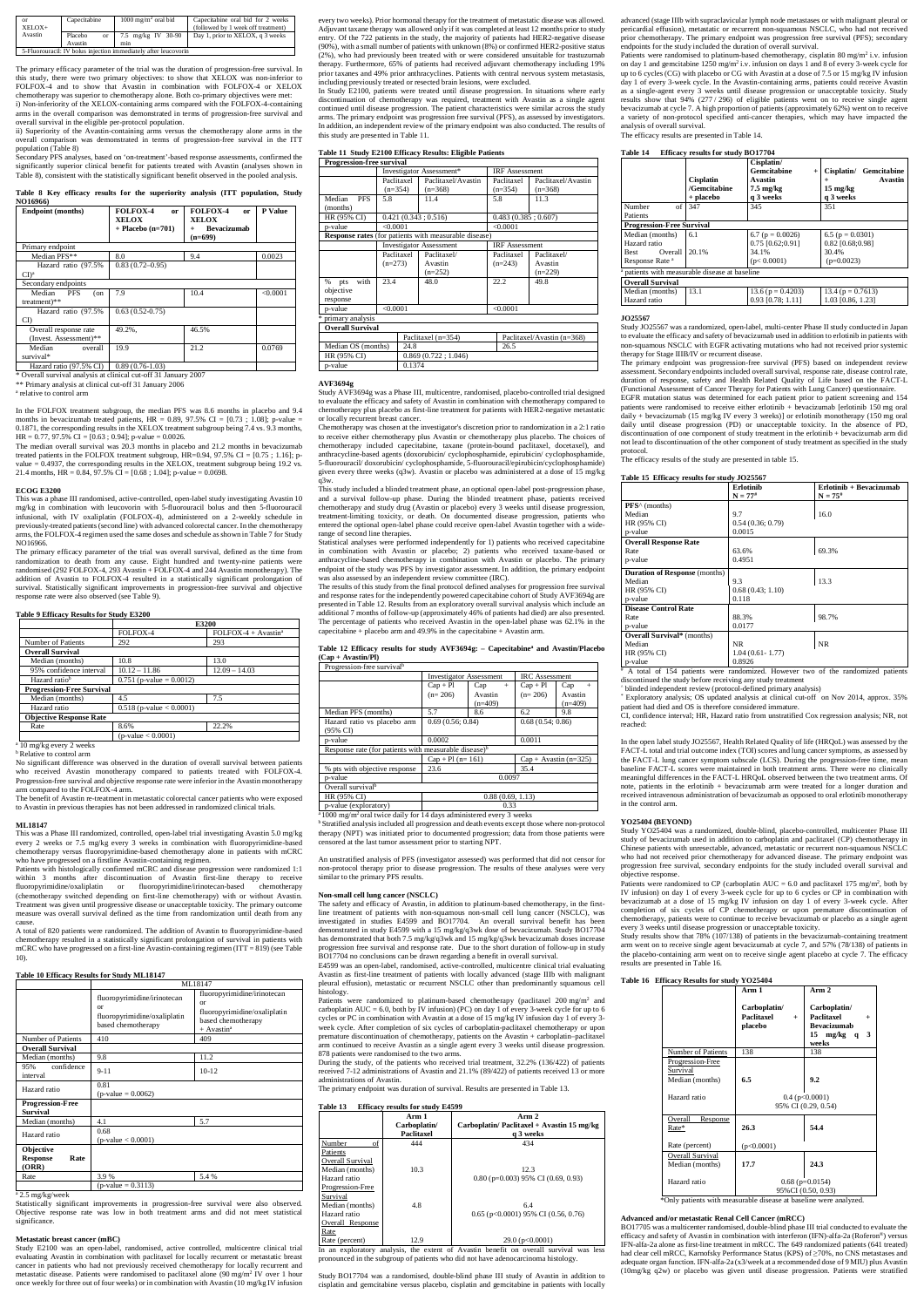| $\alpha$<br>$XEI OX+$ | Capecitabine                                                    | $1000 \,\mathrm{mg/m^2}$ oral bid | Capecitabine oral bid for 2 weeks<br>(followed by 1 week off treatment) |  |  |
|-----------------------|-----------------------------------------------------------------|-----------------------------------|-------------------------------------------------------------------------|--|--|
| Avastin               | Placebo<br>or                                                   | 7.5 mg/kg IV 30-90                | Day 1, prior to XELOX, q 3 weeks                                        |  |  |
|                       | Avastin                                                         | mm                                |                                                                         |  |  |
|                       | 5-Fluorouracil: IV bolus injection immediately after leucovorin |                                   |                                                                         |  |  |

The primary efficacy parameter of the trial was the duration of progression-free survival. In this study, there were two primary objectives: to show that XELOX was non-inferior to FOLFOX-4 and to show that Avastin in combination with FOLFOX-4 or XELOX chemotherapy was superior to chemotherapy alone. Both co-primary objectives were met: i) Non-inferiority of the XELOX-containing arms compared with the FOLFOX-4-containing

arms in the overall comparison was demonstrated in terms of progression-free survival and overall survival in the eligible per-protocol population.

ii) Superiority of the Avastin-containing arms versus the chemotherapy alone arms in the overall comparison was demonstrated in terms of progression-free survival in the ITT population (Table 8)

In the FOLFOX treatment subgroup, the median PFS was 8.6 months in placebo and 9.4 months in bevacizumab treated patients,  $HR = 0.89, 97.5\%$  CI = [0.73 ; 1.08]; p-value = 0.1871, the corresponding results in the XELOX treatment subgroup being 7.4 vs. 9.3 months,  $HR = 0.77, 97.5\% \text{ CI} = [0.63; 0.94]; \text{p-value} = 0.0026.$ 

The median overall survival was 20.3 months in placebo and 21.2 months in bevacizumab treated patients in the FOLFOX treatment subgroup, HR=0.94, 97.5% CI =  $[0.75; 1.16]$ ; pvalue = 0.4937, the corresponding results in the XELOX, treatment subgroup being 19.2 vs. 21.4 months,  $HR = 0.84$ , 97.5%  $CI = [0.68; 1.04]$ ; p-value = 0.0698.

Secondary PFS analyses, based on 'on-treatment'-based response assessments, confirmed the significantly superior clinical benefit for patients treated with Avastin (analyses shown in Table 8), consistent with the statistically significant benefit observed in the pooled analysis.

# **Table 8 Key efficacy results for the superiority analysis (ITT population, Study NO16966)**

| <b>Endpoint (months)</b>                        | <b>FOLFOX-4</b><br>or<br><b>XELOX</b><br>$+$ Placebo (n=701) | <b>FOLFOX-4</b><br>or<br>XELOX<br><b>Bevacizumab</b><br>$(n=699)$ | P Value  |
|-------------------------------------------------|--------------------------------------------------------------|-------------------------------------------------------------------|----------|
| Primary endpoint                                |                                                              |                                                                   |          |
| Median PFS**                                    | 8.0                                                          | 9.4                                                               | 0.0023   |
| Hazard ratio (97.5%<br>CD <sup>a</sup>          | $0.83(0.72 - 0.95)$                                          |                                                                   |          |
| Secondary endpoints                             |                                                              |                                                                   |          |
| Median PFS<br>(on<br>treatment)**               | 7.9                                                          | 10.4                                                              | < 0.0001 |
| Hazard ratio (97.5%<br>CI)                      | $0.63(0.52-0.75)$                                            |                                                                   |          |
| Overall response rate<br>(Invest. Assessment)** | 49.2%.                                                       | 46.5%                                                             |          |
| Median<br>overall<br>survival*                  | 19.9                                                         | 21.2                                                              | 0.0769   |
| Hazard ratio (97.5% CI)                         | $0.89(0.76-1.03)$                                            |                                                                   |          |

\* Overall survival analysis at clinical cut-off 31 January 2007 \*\* Primary analysis at clinical cut-off 31 January 2006

<sup>a</sup> relative to control arm

a 10 mg/kg every 2 weeks **b** Relative to control arm

No significant difference was observed in the duration of overall survival betwe who received Avastin monotherapy compared to patients treated with FOLFOX-4. Progression-free survival and objective response rate were inferior in the Avastin monotherapy arm compared to the FOLFOX-4 arm.

#### **ECOG E3200**

This was a phase III randomised, active-controlled, open-label study investigating Avastin 10 mg/kg in combination with leucovorin with 5-fluorouracil bolus and then 5-fluorouracil infusional, with IV oxaliplatin (FOLFOX-4), administered on a 2-weekly schedule in previously-treated patients (second line) with advanced colorectal cancer. In the chemotherapy arms, the FOLFOX-4 regimen used the same doses and schedule as shown in Table 7 for Study NO16966.

Statistically significant improvements in progression-free survival were also observed. Objective response rate was low in both treatment arms and did not meet statistical significance

The primary efficacy parameter of the trial was overall survival, defined as the time from randomization to death from any cause. Eight hundred and twenty-nine patients were randomised (292 FOLFOX-4, 293 Avastin + FOLFOX-4 and 244 Avastin monotherapy). The addition of Avastin to FOLFOX-4 resulted in a statistically significant prolongation of survival. Statistically significant improvements in progression-free survival and objective response rate were also observed (see Table 9).

## **Table 9 Efficacy Results for Study E3200**

|                                  | E3200                         |                                 |  |
|----------------------------------|-------------------------------|---------------------------------|--|
|                                  | FOLFOX-4                      | FOLFOX-4 + Avastin <sup>a</sup> |  |
| Number of Patients               | 292                           | 293                             |  |
| <b>Overall Survival</b>          |                               |                                 |  |
| Median (months)                  | 10.8                          | 13.0                            |  |
| 95% confidence interval          | $10.12 - 11.86$               | $12.09 - 14.03$                 |  |
| Hazard ratio <sup>b</sup>        | $0.751$ (p-value = 0.0012)    |                                 |  |
| <b>Progression-Free Survival</b> |                               |                                 |  |
| Median (months)                  | 4.5                           | 7.5                             |  |
| Hazard ratio                     | $0.518$ (p-value $< 0.0001$ ) |                                 |  |
| <b>Objective Response Rate</b>   |                               |                                 |  |
| Rate                             | 8.6%                          | 22.2%                           |  |
|                                  | $(p-value < 0.0001)$          |                                 |  |

The benefit of Avastin re-treatment in metastatic colorectal cancer patients who were exposed to Avastin in previous therapies has not been addressed in randomized clinical trials.

#### **ML18147**

This was a Phase III randomized, controlled, open-label trial investigating Avastin 5.0 mg/kg every 2 weeks or 7.5 mg/kg every 3 weeks in combination with fluoropyrimidine-based chemotherapy versus fluoropyrimidine-based chemotherapy alone in patients with mCRC who have progressed on a firstline Avastin-containing regimen.

Patients with histologically confirmed mCRC and disease progression were randomized 1:1 within 3 months after discontinuation of Avastin first-line therapy to receive<br>fluoropyrimidine/oxaliplatin or fluoropyrimidine/irinotecan-based chemotherapy fluoropyrimidine/oxaliplatin or fluoropyrimidine/irinotecan-based (chemotherapy switched depending on first-line chemotherapy) with or without Avastin. Treatment was given until progressive disease or unacceptable toxicity. The primary outcome measure was overall survival defined as the time from randomization until death from any cause.

A total of 820 patients were randomized. The addition of Avastin to fluoropyrimidine-based chemotherapy resulted in a statistically significant prolongation of survival in patients with mCRC who have progressed on a first-line Avastin-containing regimen  $(ITT = 819)$  (see Table 10).

## **Table 10 Efficacy Results for Study ML18147**

|                                                      |                                                                                               | ML18147                                                                                                             |
|------------------------------------------------------|-----------------------------------------------------------------------------------------------|---------------------------------------------------------------------------------------------------------------------|
|                                                      | fluoropyrimidine/irinotecan<br>$\alpha$<br>fluoropyrimidine/oxaliplatin<br>based chemotherapy | fluoropyrimidine/irinotecan<br>or<br>fluoropyrimidine/oxaliplatin<br>based chemotherapy<br>$+$ Avastin <sup>a</sup> |
| Number of Patients                                   | 410                                                                                           | 409                                                                                                                 |
| <b>Overall Survival</b>                              |                                                                                               |                                                                                                                     |
| Median (months)                                      | 9.8                                                                                           | 11.2                                                                                                                |
| confidence<br>95%<br>interval                        | $9 - 11$                                                                                      | $10-12$                                                                                                             |
| Hazard ratio                                         | 0.81<br>$(p-value = 0.0062)$                                                                  |                                                                                                                     |
| <b>Progression-Free</b><br><b>Survival</b>           |                                                                                               |                                                                                                                     |
| Median (months)                                      | 4.1                                                                                           | 5.7                                                                                                                 |
| Hazard ratio                                         | 0.68<br>$(p-value < 0.0001)$                                                                  |                                                                                                                     |
| <b>Objective</b><br><b>Response</b><br>Rate<br>(ORR) |                                                                                               |                                                                                                                     |
| Rate                                                 | 3.9%                                                                                          | 5.4 %                                                                                                               |
|                                                      | $(p-value = 0.3113)$                                                                          |                                                                                                                     |

 $a$  1000 mg/m<sup>2</sup> oral twice daily for 14 days administered every 3 weeks <sup>b</sup> Stratified analysis included all progression and death events except those where non-protocol therapy (NPT) was initiated prior to documented progression; data from those patients were censored at the last tumor assessment prior to starting NPT.

a 2.5 mg/kg/week

#### **Metastatic breast cancer (mBC)**

Study E2100 was an open-label, randomised, active controlled, multicentre clinical trial evaluating Avastin in combination with paclitaxel for locally recurrent or metastatic breast cancer in patients who had not previously received chemotherapy for locally recurrent and metastatic disease. Patients were randomised to paclitaxel alone (90 mg/m<sup>2</sup> IV over 1 hour once weekly for three out of four weeks) or in combination with Avastin (10 mg/kg IV infusion

Patients were randomized to platinum-based chemotherapy (paclitaxel 200 mg/m<sup>2</sup> and carboplatin AUC = 6.0, both by IV infusion) (PC) on day 1 of every 3-week cycle for up to 6 cycles or PC in combination with Avastin at a dose of 15 mg/kg IV infusion day 1 of every 3 week cycle. After completion of six cycles of carboplatin-paclitaxel chemotherapy or upon premature discontinuation of chemotherapy, patients on the Avastin + carboplatin–paclitaxel arm continued to receive Avastin as a single agent every 3 weeks until disease progression. 878 patients were randomised to the two arms.

every two weeks). Prior hormonal therapy for the treatment of metastatic disease was allowed. Adjuvant taxane therapy was allowed only if it was completed at least 12 months prior to study entry. Of the 722 patients in the study, the majority of patients had HER2-negative disease (90%), with a small number of patients with unknown (8%) or confirmed HER2-positive status (2%), who had previously been treated with or were considered unsuitable for trastuzumab therapy. Furthermore, 65% of patients had received adjuvant chemotherapy including 19% prior taxanes and 49% prior anthracyclines. Patients with central nervous system metastasis, including previously treated or resected brain lesions, were excluded.

In Study E2100, patients were treated until disease progression. In situations where early discontinuation of chemotherapy was required, treatment with Avastin as a single agent continued until disease progression. The patient characteristics were similar across the study arms. The primary endpoint was progression free survival (PFS), as assessed by investigators. In addition, an independent review of the primary endpoint was also conducted. The results of this study are presented in Table 11.

Patients were randomised to platinum-based chemotherapy, cisplatin 80 mg/m<sup>2</sup> i.v. infusion on day 1 and gemcitabine  $1250 \text{ mg/m}^2$  i.v. infusion on days 1 and 8 of every 3-week cycle for up to 6 cycles (CG) with placebo or CG with Avastin at a dose of 7.5 or 15 mg/kg IV infusion day 1 of every 3-week cycle. In the Avastin-containing arms, patients could receive Avastin as a single-agent every 3 weeks until disease progression or unacceptable toxicity. Study results show that 94% (277 / 296) of eligible patients went on to receive single agent bevacizumab at cycle 7. A high proportion of patients (approximately 62%) went on to receive a variety of non-protocol specified anti-cancer therapies, which may have impacted the analysis of overall survival.

|  |  |  | Table 11 Study E2100 Efficacy Results: Eligible Patients |
|--|--|--|----------------------------------------------------------|
|  |  |  |                                                          |

| <b>Progression-free survival</b>          |                                |                                                              |                            |                                 |  |
|-------------------------------------------|--------------------------------|--------------------------------------------------------------|----------------------------|---------------------------------|--|
|                                           |                                | Investigator Assessment*                                     | <b>IRF</b> Assessment      |                                 |  |
|                                           | Paclitaxel<br>$(n=354)$        | Paclitaxel/Avastin<br>$(n=368)$                              | Paclitaxel<br>$(n=354)$    | Paclitaxel/Avastin<br>$(n=368)$ |  |
| Median<br><b>PFS</b><br>(months)          | 5.8                            | 11.4                                                         | 5.8                        | 11.3                            |  |
| HR (95% CI)                               | 0.421(0.343:0.516)             |                                                              | 0.483(0.385:0.607)         |                                 |  |
| p-value                                   | < 0.0001                       |                                                              | < 0.0001                   |                                 |  |
|                                           |                                | <b>Response rates</b> (for patients with measurable disease) |                            |                                 |  |
|                                           | <b>Investigator Assessment</b> |                                                              | <b>IRF</b> Assessment      |                                 |  |
|                                           | Paclitaxel                     | Paclitaxel/                                                  | Paclitaxel                 | Paclitaxel/                     |  |
|                                           | $(n=273)$                      | Avastin<br>$(n=252)$                                         | $(n=243)$                  | Avastin<br>$(n=229)$            |  |
| with<br>%<br>pts<br>objective<br>response | 23.4                           | 48.0                                                         | 22.2                       | 49.8                            |  |
| p-value                                   | < 0.0001                       |                                                              | < 0.0001                   |                                 |  |
| *<br>primary analysis                     |                                |                                                              |                            |                                 |  |
| <b>Overall Survival</b>                   |                                |                                                              |                            |                                 |  |
| Paclitaxel $(n=354)$                      |                                |                                                              | Paclitaxel/Avastin (n=368) |                                 |  |
| Median OS (months)                        | 24.8                           |                                                              | 26.5                       |                                 |  |
| HR (95% CI)                               |                                | 0.869(0.722; 1.046)                                          |                            |                                 |  |
| p-value                                   | 0.1374                         |                                                              |                            |                                 |  |

**AVF3694g** Study AVF3694g was a Phase III, multicentre, randomised, placebo-controlled trial designed to evaluate the efficacy and safety of Avastin in combination with chemotherapy compared to chemotherapy plus placebo as first-line treatment for patients with HER2-negative metastatic or locally recurrent breast cancer.

Chemotherapy was chosen at the investigator's discretion prior to randomization in a 2:1 ratio to receive either chemotherapy plus Avastin or chemotherapy plus placebo. The choices of chemotherapy included capecitabine, taxane (protein-bound paclitaxel, docetaxel), and anthracycline-based agents (doxorubicin/ cyclophosphamide, epirubicin/ cyclophosphamide, 5-fluorouracil/ doxorubicin/ cyclophosphamide, 5-fluorouracil/epirubicin/cyclophosphamide) given every three weeks (q3w). Avastin or placebo was administered at a dose of 15 mg/kg q3w.

This study included a blinded treatment phase, an optional open-label post-progression phase, and a survival follow-up phase. During the blinded treatment phase, patients received chemotherapy and study drug (Avastin or placebo) every 3 weeks until disease progression, treatment-limiting toxicity, or death. On documented disease progression, patients who entered the optional open-label phase could receive open-label Avastin together with a widerange of second line therapies.

> Patients were randomized to CP (carboplatin AUC = 6.0 and paclitaxel 175 mg/m<sup>2</sup>, both by IV infusion) on day 1 of every 3-week cycle for up to 6 cycles or CP in combination with bevacizumab at a dose of 15 mg/kg IV infusion on day 1 of every 3-week cycle. After completion of six cycles of CP chemotherapy or upon premature discontinuation of chemotherapy, patients were to continue to receive bevacizumab or placebo as a single agent every 3 weeks until disease progression or unacceptable toxicity.

Statistical analyses were performed independently for 1) patients who received capecitabine in combination with Avastin or placebo; 2) patients who received taxane-based or anthracycline-based chemotherapy in combination with Avastin or placebo. The primary endpoint of the study was PFS by investigator assessment. In addition, the primary endpoint was also assessed by an independent review committee (IRC).

The results of this study from the final protocol defined analyses for progression free survival and response rates for the independently powered capecitabine cohort of Study AVF3694g are presented in Table 12. Results from an exploratory overall survival analysis which include an additional 7 months of follow-up (approximately 46% of patients had died) are also presented. The percentage of patients who received Avastin in the open-label phase was 62.1% in the capecitabine + placebo arm and 49.9% in the capecitabine + Avastin arm.

|                    |  | Table 12 Efficacy results for study AVF3694g: - Capecitabine <sup>a</sup> and Avastin/Placebo |
|--------------------|--|-----------------------------------------------------------------------------------------------|
| (Cap + Avastin/PI) |  |                                                                                               |

| Progression-free survival <sup>b</sup>                            |                                |               |                       |                         |
|-------------------------------------------------------------------|--------------------------------|---------------|-----------------------|-------------------------|
|                                                                   | <b>Investigator Assessment</b> |               | <b>IRC</b> Assessment |                         |
|                                                                   | $Cap + Pl$                     | Cap<br>$^{+}$ | $Cap + Pl$            | Cap<br>$^{+}$           |
|                                                                   | $(n=206)$                      | Avastin       | $(n=206)$             | Avastin                 |
|                                                                   |                                | $(n=409)$     |                       | $(n=409)$               |
| Median PFS (months)                                               | 5.7                            | 8.6           | 6.2                   | 9.8                     |
| Hazard ratio vs placebo arm<br>(95% CI)                           | 0.69(0.56; 0.84)               |               | 0.68(0.54; 0.86)      |                         |
| p-value                                                           | 0.0002                         |               | 0.0011                |                         |
| Response rate (for patients with measurable disease) <sup>b</sup> |                                |               |                       |                         |
|                                                                   | $Cap + Pl (n=161)$             |               |                       | $Cap + Avastin (n=325)$ |
| % pts with objective response                                     | 23.6                           |               | 35.4                  |                         |
| p-value                                                           | 0.0097                         |               |                       |                         |
| Overall survival <sup>b</sup>                                     |                                |               |                       |                         |
| HR (95% CI)                                                       | 0.88(0.69, 1.13)               |               |                       |                         |

p-value (exploratory) 0.33

An unstratified analysis of PFS (investigator assessed) was performed that did not censor for non-protocol therapy prior to disease progression. The results of these analyses were very similar to the primary PFS results.

## **Non-small cell lung cancer (NSCLC)**

The safety and efficacy of Avastin, in addition to platinum-based chemotherapy, in the firstline treatment of patients with non-squamous non-small cell lung cancer (NSCLC), was investigated in studies E4599 and BO17704. An overall survival benefit has been demonstrated in study E4599 with a 15 mg/kg/q3wk dose of bevacizumab. Study BO17704 has demonstrated that both 7.5 mg/kg/q3wk and 15 mg/kg/q3wk bevacizumab doses increase progression free survival and response rate. Due to the short duration of follow-up in study BO17704 no conclusions can be drawn regarding a benefit in overall survival.

E4599 was an open-label, randomised, active-controlled, multicentre clinical trial evaluating Avastin as first-line treatment of patients with locally advanced (stage IIIb with malignant pleural effusion), metastatic or recurrent NSCLC other than predominantly squamous cell

histology.

During the study, of the patients who received trial treatment, 32.2% (136/422) of patients received 7-12 administrations of Avastin and 21.1% (89/422) of patients received 13 or more administrations of Avastin.

The primary endpoint was duration of survival. Results are presented in Table 13.

**Table 13 Efficacy results for study E4599**

|                  | Arm 1<br>Carboplatin/<br>Paclitaxel | $A$ rm $2$<br>Carboplatin/ Paclitaxel + Avastin 15 mg/kg<br>q 3 weeks |
|------------------|-------------------------------------|-----------------------------------------------------------------------|
| of<br>Number     | 444                                 | 434                                                                   |
| Patients         |                                     |                                                                       |
| Overall Survival |                                     |                                                                       |
| Median (months)  | 10.3                                | 12.3                                                                  |
| Hazard ratio     |                                     | $0.80$ (p=0.003) 95% CI (0.69, 0.93)                                  |
| Progression-Free |                                     |                                                                       |
| Survival         |                                     |                                                                       |
| Median (months)  | 4.8                                 | 6.4                                                                   |
| Hazard ratio     |                                     | $0.65$ (p<0.0001) 95% CI (0.56, 0.76)                                 |
| Overall Response |                                     |                                                                       |
| Rate             |                                     |                                                                       |
| Rate (percent)   | 12.9                                | $29.0$ (p $< 0.0001$ )                                                |

In an exploratory analysis, the extent of Avastin benefit on overall survival was less pronounced in the subgroup of patients who did not have adenocarcinoma histology.

Study BO17704 was a randomised, double-blind phase III study of Avastin in addition to cisplatin and gemcitabine versus placebo, cisplatin and gemcitabine in patients with locally

advanced (stage IIIb with supraclavicular lymph node metastases or with malignant pleural or pericardial effusion), metastatic or recurrent non-squamous NSCLC, who had not received prior chemotherapy. The primary endpoint was progression free survival (PFS); secondary endpoints for the study included the duration of overall survival.

The efficacy results are presented in Table 14. **Table 14 Efficacy results for study BO17704**

| 1 avie 14                                    | <b>EHICACY FESURES FOR SUIGY DUTY/U4</b>      |                                                                                    |                                                                                        |  |  |
|----------------------------------------------|-----------------------------------------------|------------------------------------------------------------------------------------|----------------------------------------------------------------------------------------|--|--|
|                                              | <b>Cisplatin</b><br>/Gemcitabine<br>+ placebo | Cisplatin/<br>Gemcitabine<br>$^{+}$<br>Avastin<br>$7.5 \text{ mg/kg}$<br>q 3 weeks | Cisplatin/ Gemcitabine<br>Avastin<br>$\overline{+}$<br>$15 \text{ mg/kg}$<br>q 3 weeks |  |  |
| of<br>Number                                 | 347                                           | 345                                                                                | 351                                                                                    |  |  |
| Patients                                     |                                               |                                                                                    |                                                                                        |  |  |
| <b>Progression-Free Survival</b>             |                                               |                                                                                    |                                                                                        |  |  |
| Median (months)                              | 6.1                                           | 6.7 ( $p = 0.0026$ )                                                               | 6.5 ( $p = 0.0301$ )                                                                   |  |  |
| Hazard ratio                                 |                                               | $0.75$ [0.62;0.91]                                                                 | $0.82$ [0.68;0.98]                                                                     |  |  |
| Overall<br><b>Best</b>                       | 20.1%                                         | 34.1%                                                                              | 30.4%                                                                                  |  |  |
| Response Rate <sup>a</sup>                   |                                               | (p < 0.0001)                                                                       | $(p=0.0023)$                                                                           |  |  |
| patients with measurable disease at baseline |                                               |                                                                                    |                                                                                        |  |  |
| <b>Overall Survival</b>                      |                                               |                                                                                    |                                                                                        |  |  |
| Median (months)                              | 13.1                                          | 13.6 ( $p = 0.4203$ )                                                              | $13.4(p = 0.7613)$                                                                     |  |  |
| Hazard ratio                                 |                                               | $0.93$ [0.78; 1.11]                                                                | 1.03 [0.86, 1.23]                                                                      |  |  |

#### **JO25567**

Study JO25567 was a randomized, open-label, multi-center Phase II study conducted in Japan to evaluate the efficacy and safety of bevacizumab used in addition to erlotinib in patients with non-squamous NSCLC with EGFR activating mutations who had not received prior systemic therapy for Stage IIIB/IV or recurrent disease.

The primary endpoint was progression-free survival (PFS) based on independent review assessment. Secondary endpoints included overall survival, response rate, disease control rate, duration of response, safety and Health Related Quality of Life based on the FACT-L (Functional Assessment of Cancer Therapy for Patients with Lung Cancer) questionnaire. EGFR mutation status was determined for each patient prior to patient screening and 154 patients were randomised to receive either erlotinib + bevacizumab [erlotinib 150 mg oral daily + bevacizumab (15 mg/kg IV every 3 weeks)] or erlotinib monotherapy (150 mg oral daily until disease progression (PD) or unacceptable toxicity. In the absence of PD, discontinuation of one component of study treatment in the erlotinib + bevacizumab arm did not lead to discontinuation of the other component of study treatment as specified in the study

protocol.

The efficacy results of the study are presented in table 15.

## **Table 15 Efficacy results for study JO25567**

|                                      | <b>Erlotinib</b>    | Erlotinib + Bevacizumab |
|--------------------------------------|---------------------|-------------------------|
|                                      | $N = 77^{#}$        | $N = 75^{#}$            |
| $PFS^{\wedge}$ (months)              |                     |                         |
| Median                               | 9.7                 | 16.0                    |
| HR (95% CI)                          | 0.54(0.36; 0.79)    |                         |
| p-value                              | 0.0015              |                         |
| <b>Overall Response Rate</b>         |                     |                         |
| Rate                                 | 63.6%               | 69.3%                   |
| p-value                              | 0.4951              |                         |
| <b>Duration of Response</b> (months) |                     |                         |
| Median                               | 9.3                 | 13.3                    |
| HR (95% CI)                          | 0.68(0.43; 1.10)    |                         |
| p-value                              | 0.118               |                         |
| <b>Disease Control Rate</b>          |                     |                         |
| Rate                                 | 88.3%               | 98.7%                   |
| p-value                              | 0.0177              |                         |
| <b>Overall Survival*</b> (months)    |                     |                         |
| Median                               | NR.                 | <b>NR</b>               |
| HR (95% CI)                          | $1.04(0.61 - 1.77)$ |                         |
| p-value                              | 0.8926              |                         |

# A total of 154 patients were randomized. However two of the randomized patient discontinued the study before receiving any study treatment

^ blinded independent review (protocol-defined primary analysis)

\* Exploratory analysis; OS updated analysis at clinical cut-off on Nov 2014, approx. 35%

patient had died and OS is therefore considered immature. CI, confidence interval; HR, Hazard ratio from unstratified Cox regression analysis; NR, not reached:

In the open label study JO25567, Health Related Quality of life (HRQoL) was assessed by the FACT-L total and trial outcome index (TOI) scores and lung cancer symptoms, as assessed by the FACT-L lung cancer symptom subscale (LCS). During the progression-free time, mean baseline FACT-L scores were maintained in both treatment arms. There were no clinically meaningful differences in the FACT-L HRQoL observed between the two treatment arms. Of note, patients in the erlotinib + bevacizumab arm were treated for a longer duration and received intravenous administration of bevacizumab as opposed to oral erlotinib monotherapy in the control arm.

#### **YO25404 (BEYOND)**

Study YO25404 was a randomized, double-blind, placebo-controlled, multicenter Phase III study of bevacizumab used in addition to carboplatin and paclitaxel (CP) chemotherapy in Chinese patients with unresectable, advanced, metastatic or recurrent non-squamous NSCLC who had not received prior chemotherapy for advanced disease. The primary endpoint was progression free survival, secondary endpoints for the study included overall survival and objective response.

Study results show that 78% (107/138) of patients in the bevacizumab-containing treatment arm went on to receive single agent bevacizumab at cycle 7, and 57% (78/138) of patients in the placebo-containing arm went on to receive single agent placebo at cycle 7. The efficacy results are presented in Table 16.

## **Table 16 Efficacy Results for study YO25404**

|                                                                 | Arm 1                                           | $A$ rm $2$                                                                                          |  |
|-----------------------------------------------------------------|-------------------------------------------------|-----------------------------------------------------------------------------------------------------|--|
|                                                                 | Carboplatin/<br>Paclitaxel<br>$^{+}$<br>placebo | Carboplatin/<br>Paclitaxel<br>$\ddot{}$<br><b>Bevacizumab</b><br>$15 \text{ mg/kg}$ q<br>3<br>weeks |  |
| Number of Patients                                              | 138                                             | 138                                                                                                 |  |
| Progression-Free<br>Survival<br>Median (months)<br>Hazard ratio | 6.5                                             | 9.2                                                                                                 |  |
|                                                                 |                                                 | $0.4$ (p< $0.0001$ )<br>95% CI (0.29, 0.54)                                                         |  |
| Overall<br>Response<br>Rate*<br>Rate (percent)                  | 26.3<br>(p<0.0001)                              | 54.4                                                                                                |  |
| Overall Survival                                                |                                                 |                                                                                                     |  |
| Median (months)                                                 | 17.7                                            | 24.3                                                                                                |  |
|                                                                 | $0.68$ (p=0.0154)<br>95% CI (0.50, 0.93)        |                                                                                                     |  |

\*Only patients with measurable disease at baseline were analyzed.

## **Advanced and/or metastatic Renal Cell Cancer (mRCC)**

BO17705 was a multicenter randomised, double-blind phase III trial conducted to evaluate the efficacy and safety of Avastin in combination with interferon (IFN)-alfa-2a (Roferon®) versus IFN-alfa-2a alone as first-line treatment in mRCC. The 649 randomized patients (641 treated) had clear cell mRCC, Karnofsky Performance Status (KPS) of ≥70%, no CNS metastases and adequate organ function. IFN-alfa-2a (x3/week at a recommended dose of 9 MIU) plus Avastin (10mg/kg q2w) or placebo was given until disease progression. Patients were stratified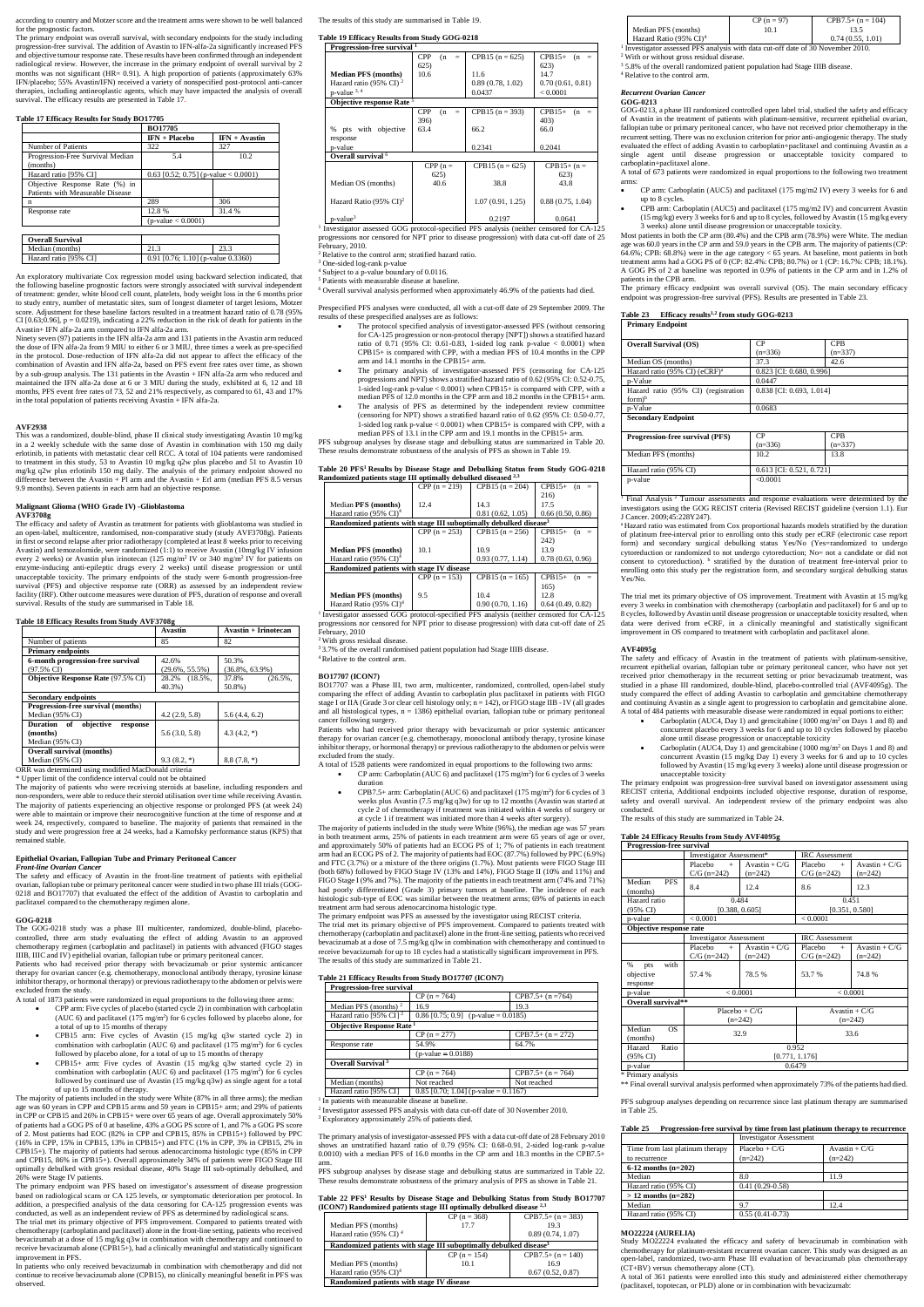according to country and Motzer score and the treatment arms were shown to be well balanced for the prognostic factors.

The primary endpoint was overall survival, with secondary endpoints for the study including progression-free survival. The addition of Avastin to IFN-alfa-2a significantly increased PFS and objective tumour response rate. These results have been confirmed through an independent radiological review. However, the increase in the primary endpoint of overall survival by 2 months was not significant (HR= 0.91). A high proportion of patients (approximately 63% IFN/placebo; 55% Avastin/IFN) received a variety of nonspecified post-protocol anti-cancer therapies, including antineoplastic agents, which may have impacted the analysis of overall survival. The efficacy results are presented in Table 17.

## **Table 17 Efficacy Results for Study BO17705**

|                                                                    | <b>BO17705</b>                          |                 |
|--------------------------------------------------------------------|-----------------------------------------|-----------------|
|                                                                    | $IFN + Placebo$                         | $IFN + Avastin$ |
| Number of Patients                                                 | 322                                     | 327             |
| Progression-Free Survival Median<br>(months)                       | 5.4                                     | 10.2            |
| Hazard ratio [95% CI]                                              | 0.63 [0.52; 0.75] (p-value $< 0.0001$ ) |                 |
| Objective Response Rate (%) in<br>Patients with Measurable Disease |                                         |                 |
| n                                                                  | 289                                     | 306             |
| Response rate                                                      | 12.8%                                   | 31.4 %          |
|                                                                    | $(p-value < 0.0001)$                    |                 |
|                                                                    |                                         |                 |
| <b>Overall Survival</b>                                            |                                         |                 |
| Median (months)                                                    | 21.3                                    | 23.3            |
| Hazard ratio [95% CI]                                              | 0.91 [0.76; 1.10] (p-value 0.3360)      |                 |

An exploratory multivariate Cox regression model using backward selection indicated, that the following baseline prognostic factors were strongly associated with survival independent of treatment: gender, white blood cell count, platelets, body weight loss in the 6 months prior to study entry, number of metastatic sites, sum of longest diameter of target lesions, Motzer score. Adjustment for these baseline factors resulted in a treatment hazard ratio of 0.78 (95% CI [0.63;0.96],  $p = 0.0219$ , indicating a 22% reduction in the risk of death for patients in the Avastin+ IFN alfa-2a arm compared to IFN alfa-2a arm.

Ninety seven (97) patients in the IFN alfa-2a arm and 131 patients in the Avastin arm reduced the dose of IFN alfa-2a from 9 MIU to either 6 or 3 MIU, three times a week as pre-specified in the protocol. Dose-reduction of IFN alfa-2a did not appear to affect the efficacy of the combination of Avastin and IFN alfa-2a, based on PFS event free rates over time, as shown by a sub-group analysis. The 131 patients in the Avastin + IFN alfa-2a arm who reduced and maintained the IFN alfa-2a dose at 6 or 3 MIU during the study, exhibited at 6, 12 and 18 months, PFS event free rates of 73, 52 and 21% respectively, as compared to 61, 43 and 17% in the total population of patients receiving Avastin + IFN alfa-2a.

#### **AVF2938**

This was a randomized, double-blind, phase II clinical study investigating Avastin 10 mg/kg in a 2 weekly schedule with the same dose of Avastin in combination with 150 mg daily erlotinib, in patients with metastatic clear cell RCC. A total of 104 patients were randomised to treatment in this study, 53 to Avastin 10 mg/kg q2w plus placebo and 51 to Avastin 10 mg/kg q2w plus erlotinib 150 mg daily. The analysis of the primary endpoint showed no difference between the Avastin + Pl arm and the Avastin + Erl arm (median PFS 8.5 versus 9.9 months). Seven patients in each arm had an objective response.

## **Malignant Glioma (WHO Grade IV) -Glioblastoma**

#### **AVF3708g**

The efficacy and safety of Avastin as treatment for patients with glioblastoma was studied in an open-label, multicentre, randomised, non-comparative study (study AVF3708g). Patients in first or second relapse after prior radiotherapy (completed at least 8 weeks prior to receiving Avastin) and temozolomide, were randomized (1:1) to receive Avastin (10mg/kg IV infusion every 2 weeks) or Avastin plus irinotecan (125 mg/m<sup>2</sup> IV or 340 mg/m<sup>2</sup> IV for patients on enzyme-inducing anti-epileptic drugs every 2 weeks) until disease progression or until unacceptable toxicity. The primary endpoints of the study were 6-month progression-free survival (PFS) and objective response rate (ORR) as assessed by an independent review facility (IRF). Other outcome measures were duration of PFS, duration of response and overall survival. Results of the study are summarised in Table 18.

## **Table 18 Efficacy Results from Study AVF3708g**

|                                                                     | Avastin                     | <b>Avastin + Irinotecan</b>    |
|---------------------------------------------------------------------|-----------------------------|--------------------------------|
| Number of patients                                                  | 85                          | 82                             |
| <b>Primary endpoints</b>                                            |                             |                                |
| 6-month progression-free survival<br>$(97.5\% \text{ CI})$          | 42.6%<br>$(29.6\%, 55.5\%)$ | 50.3%<br>$(36.8\%, 63.9\%)$    |
| Objective Response Rate (97.5% CI)                                  | 28.2% (18.5%,<br>40.3%)     | 37.8%<br>$(26.5\%$ ,<br>50.8%) |
| <b>Secondary endpoints</b>                                          |                             |                                |
| Progression-free survival (months)<br>Median (95% CI)               | 4.2(2.9, 5.8)               | 5.6(4.4, 6.2)                  |
| Duration of<br>objective<br>response<br>(months)<br>Median (95% CI) | 5.6(3.0, 5.8)               | $4.3(4.2,*)$                   |
| <b>Overall survival (months)</b><br>Median (95% CI)                 | $9.3(8.2,*)$                | $8.8(7.8,*)$                   |

ORR was determined using modified MacDonald criteria

\* Upper limit of the confidence interval could not be obtained

<sup>1</sup> Investigator assessed GOG protocol-specified PFS analysis (neither censored for CA-125 progressions nor censored for NPT prior to disease progression) with data cut-off date of 25 February, 2010.

The majority of patients who were receiving steroids at baseline, including responders and non-responders, were able to reduce their steroid utilisation over time while receiving Avastin. The majority of patients experiencing an objective response or prolonged PFS (at week 24) were able to maintain or improve their neurocognitive function at the time of response and at week 24, respectively, compared to baseline. The majority of patients that remained in the study and were progression free at 24 weeks, had a Karnofsky performance status (KPS) that remained stable.

#### **Epithelial Ovarian, Fallopian Tube and Primary Peritoneal Cancer** *Front-line Ovarian Cancer*

The safety and efficacy of Avastin in the front-line treatment of patients with epithelial ovarian, fallopian tube or primary peritoneal cancer were studied in two phase III trials (GOG-0218 and BO17707) that evaluated the effect of the addition of Avastin to carboplatin and paclitaxel compared to the chemotherapy regimen alone.

### **GOG-0218**

The GOG-0218 study was a phase III multicenter, randomized, double-blind, placebocontrolled, three arm study evaluating the effect of adding Avastin to an approved chemotherapy regimen (carboplatin and paclitaxel) in patients with advanced (FIGO stages IIIB, IIIC and IV) epithelial ovarian, fallopian tube or primary peritoneal cancer.

<sup>2</sup> With gross residual disease. <sup>4</sup>Relative to the control arm.

Patients who had received prior therapy with bevacizumab or prior systemic anticancer therapy for ovarian cancer (e.g. chemotherapy, monoclonal antibody therapy, tyrosine kinase inhibitor therapy, or hormonal therapy) or previous radiotherapy to the abdomen or pelvis were

excluded from the study.

A total of 1873 patients were randomized in equal proportions to the following three arms:

- CP arm: Carboplatin (AUC 6) and paclitaxel  $(175 \text{ mg/m}^2)$  for 6 cycles of 3 weeks duration
- CPB7.5+ arm: Carboplatin (AUC 6) and paclitaxel (175 mg/m<sup>2</sup>) for 6 cycles of 3 weeks plus Avastin (7.5 mg/kg q3w) for up to 12 months (Avastin was started at cycle 2 of chemotherapy if treatment was initiated within 4 weeks of surgery or at cycle 1 if treatment was initiated more than 4 weeks after surgery).

- CPP arm: Five cycles of placebo (started cycle 2) in combination with carboplatin (AUC 6) and paclitaxel (175 mg/m<sup>2</sup> ) for 6 cycles followed by placebo alone, for a total of up to 15 months of therapy
- CPB15 arm: Five cycles of Avastin (15 mg/kg q3w started cycle 2) in combination with carboplatin (AUC 6) and paclitaxel (175 mg/m<sup>2</sup> ) for 6 cycles followed by placebo alone, for a total of up to 15 months of therapy
- CPB15+ arm: Five cycles of Avastin (15 mg/kg q3w started cycle 2) in combination with carboplatin (AUC  $6$ ) and paclitaxel (175 mg/m<sup>2</sup>) for  $6$  cycles followed by continued use of Avastin (15 mg/kg q3w) as single agent for a total of up to 15 months of therapy.

The majority of patients included in the study were White (87% in all three arms); the median age was 60 years in CPP and CPB15 arms and 59 years in CPB15+ arm; and 29% of patients in CPP or CPB15 and 26% in CPB15+ were over 65 years of age. Overall approximately 50% of patients had a GOG PS of 0 at baseline, 43% a GOG PS score of 1, and 7% a GOG PS score of 2. Most patients had EOC (82% in CPP and CPB15, 85% in CPB15+) followed by PPC (16% in CPP, 15% in CPB15, 13% in CPB15+) and FTC (1% in CPP, 3% in CPB15, 2% in CPB15+). The majority of patients had serous adenocarcinoma histologic type (85% in CPP and CPB15, 86% in CPB15+). Overall approximately 34% of patients were FIGO Stage III optimally debulked with gross residual disease, 40% Stage III sub-optimally debulked, and 26% were Stage IV patients.

<sup>1</sup> Investigator assessed PFS analysis with data cut-off date of 30 November 2010. 2 With or without gross residual disease.

<sup>3</sup> 5.8% of the overall randomized patient population had Stage IIIB disease.

The primary endpoint was PFS based on investigator's assessment of disease progression based on radiological scans or CA 125 levels, or symptomatic deterioration per protocol. In addition, a prespecified analysis of the data censoring for CA-125 progression events was conducted, as well as an independent review of PFS as determined by radiological scans. The trial met its primary objective of PFS improvement. Compared to patients treated with chemotherapy (carboplatin and paclitaxel) alone in the front-line setting, patients who received bevacizumab at a dose of 15 mg/kg q3w in combination with chemotherapy and continued to receive bevacizumab alone (CPB15+), had a clinically meaningful and statistically significant improvement in PFS.

In patients who only received bevacizumab in combination with chemotherapy and did not continue to receive bevacizumab alone (CPB15), no clinically meaningful benefit in PFS was observed.

#### The results of this study are summarised in Table 19.

## **Table 19 Efficacy Results from Study GOG-0218**

| Progression-free survival <sup>1</sup> |                          |                   |                        |  |  |
|----------------------------------------|--------------------------|-------------------|------------------------|--|--|
|                                        | <b>CPP</b><br>(n)<br>$=$ | CPB15 $(n = 625)$ | $CPB15+$<br>(n)<br>$=$ |  |  |
|                                        | 625)                     |                   | 623)                   |  |  |
| <b>Median PFS (months)</b>             | 10.6                     | 11.6              | 14.7                   |  |  |
| Hazard ratio (95% CI) <sup>2</sup>     |                          | 0.89(0.78, 1.02)  | 0.70(0.61, 0.81)       |  |  |
| $p$ -value $3, 4$                      |                          | 0.0437            | < 0.0001               |  |  |
| Objective response Rate <sup>5</sup>   |                          |                   |                        |  |  |
|                                        | <b>CPP</b><br>(n)        | CPB15 $(n = 393)$ | $CPB15+$<br>(n)        |  |  |
|                                        | 396)                     |                   | 403)                   |  |  |
| pts with objective<br>%                | 63.4                     | 66.2              | 66.0                   |  |  |
| response                               |                          |                   |                        |  |  |
| p-value                                |                          | 0.2341            | 0.2041                 |  |  |
| Overall survival <sup>6</sup>          |                          |                   |                        |  |  |
|                                        | $CPP(n =$                | CPB15 $(n = 625)$ | $CPB15+ (n =$          |  |  |
|                                        | 625)                     |                   | 623)                   |  |  |
| Median OS (months)                     | 40.6                     | 38.8              | 43.8                   |  |  |
|                                        |                          |                   |                        |  |  |
| Hazard Ratio (95% $CI$ ) <sup>2</sup>  |                          | 1.07(0.91, 1.25)  | 0.88(0.75, 1.04)       |  |  |
| $p$ -value <sup>3</sup>                |                          | 0.2197            | 0.0641                 |  |  |

<sup>1</sup> Final Analysis<sup>2</sup> Tumour assessments and response evaluations were determined by the investigators using the GOG RECIST criteria (Revised RECIST guideline (version 1.1). Eur J Cancer. 2009;45:228Y247).

2 Relative to the control arm; stratified hazard ratio.

3

One-sided log-rank p-value

4 Subject to a p-value boundary of 0.0116. 5 Patients with measurable disease at baseline.

6 Overall survival analysis performed when approximately 46.9% of the patients had died.

Prespecified PFS analyses were conducted, all with a cut-off date of 29 September 2009. The results of these prespecified analyses are as follows:

- Carboplatin (AUC4, Day 1) and gemcitabine (1000 mg/m<sup>2</sup> on Days 1 and 8) and concurrent placebo every 3 weeks for 6 and up to 10 cycles followed by placebo alone until disease progression or unacceptable toxicity
- Carboplatin (AUC4, Day 1) and gemcitabine (1000 mg/m<sup>2</sup> on Days 1 and 8) and concurrent Avastin (15 mg/kg Day 1) every 3 weeks for 6 and up to 10 cycles followed by Avastin (15 mg/kg every 3 weeks) alone until disease progression or unacceptable toxicity
- The protocol specified analysis of investigator-assessed PFS (without censoring for CA-125 progression or non-protocol therapy [NPT]) shows a stratified hazard ratio of 0.71 (95% CI: 0.61-0.83, 1-sided log rank p-value < 0.0001) when CPB15+ is compared with CPP, with a median PFS of 10.4 months in the CPP arm and 14.1 months in the CPB15+ arm.
- The primary analysis of investigator-assessed PFS (censoring for CA-125 progressions and NPT) shows a stratified hazard ratio of 0.62 (95% CI: 0.52-0.75, 1-sided log-rank p-value < 0.0001) when CPB15+ is compared with CPP, with a median PFS of 12.0 months in the CPP arm and 18.2 months in the CPB15+ arm.
- The analysis of PFS as determined by the independent review committee (censoring for NPT) shows a stratified hazard ratio of 0.62 (95% CI: 0.50-0.77, 1-sided log rank p-value < 0.0001) when CPB15+ is compared with CPP, with a median PFS of 13.1 in the CPP arm and 19.1 months in the CPB15+ arm.

PFS subgroup analyses by disease stage and debulking status are summarized in Table 20. These results demonstrate robustness of the analysis of PFS as shown in Table 19.

# **Table 20 PFS<sup>1</sup> Results by Disease Stage and Debulking Status from Study GOG-0218 Randomized patients stage III optimally debulked diseased 2,3**

| канаонные райсны заще 111 ориннагу асоцикл авсамен                                                  |                 |                    |                    |
|-----------------------------------------------------------------------------------------------------|-----------------|--------------------|--------------------|
|                                                                                                     | CPP $(n = 219)$ | CPB 15 $(n = 204)$ | $CPB15+$<br>$(n =$ |
|                                                                                                     |                 |                    | 216)               |
| Median PFS (months)                                                                                 | 12.4            | 14.3               | 17.5               |
| Hazard ratio (95% $CI$ ) <sup>4</sup>                                                               |                 | 0.81(0.62, 1.05)   | 0.66(0.50, 0.86)   |
| Randomized patients with stage III suboptimally debulked disease <sup>3</sup>                       |                 |                    |                    |
|                                                                                                     | CPP $(n = 253)$ | $CPB15(n = 256)$   | $CPB15+$<br>$(n =$ |
|                                                                                                     |                 |                    | 242)               |
| <b>Median PFS</b> (months)                                                                          | 10.1            | 10.9               | 13.9               |
| Hazard ratio $(95\% \text{ CI})^4$                                                                  |                 | 0.93(0.77, 1.14)   | 0.78(0.63, 0.96)   |
| Randomized patients with stage IV disease                                                           |                 |                    |                    |
|                                                                                                     | CPP $(n = 153)$ | CPB 15 $(n = 165)$ | $CPB15+$<br>$(n =$ |
|                                                                                                     |                 |                    | 165)               |
| <b>Median PFS (months)</b>                                                                          | 9.5             | 10.4               | 12.8               |
| Hazard Ratio (95% $CD4$                                                                             |                 | 0.90(0.70, 1.16)   | 0.64(0.49, 0.82)   |
| <sup>1</sup> Investigator assessed GOG protocol-specified PFS analysis (neither censored for CA-125 |                 |                    |                    |

progressions nor censored for NPT prior to disease progression) with data cut-off date of 25 February, 2010

<sup>3</sup> 3.7% of the overall randomised patient population had Stage IIIB disease.

#### **BO17707 (ICON7)**

BO17707 was a Phase III, two arm, multicenter, randomized, controlled, open-label study comparing the effect of adding Avastin to carboplatin plus paclitaxel in patients with FIGO stage I or IIA (Grade 3 or clear cell histology only; n = 142), or FIGO stage IIB - IV (all grades and all histological types,  $n = 1386$ ) epithelial ovarian, fallopian tube or primary peritoneal cancer following surgery.

Patients who had received prior therapy with bevacizumab or prior systemic anticancer therapy for ovarian cancer (e.g. chemotherapy, monoclonal antibody therapy, tyrosine kinase inhibitor therapy, or hormonal therapy) or previous radiotherapy to the abdomen or pelvis were excluded from the study.

A total of 1528 patients were randomized in equal proportions to the following two arms:

The majority of patients included in the study were White (96%), the median age was 57 years in both treatment arms, 25% of patients in each treatment arm were 65 years of age or over, and approximately 50% of patients had an ECOG PS of 1; 7% of patients in each treatment arm had an ECOG PS of 2. The majority of patients had EOC (87.7%) followed by PPC (6.9%) and FTC (3.7%) or a mixture of the three origins (1.7%). Most patients were FIGO Stage III (both 68%) followed by FIGO Stage IV (13% and 14%), FIGO Stage II (10% and 11%) and FIGO Stage I (9% and 7%). The majority of the patients in each treatment arm (74% and 71%) had poorly differentiated (Grade 3) primary tumors at baseline. The incidence of each histologic sub-type of EOC was similar between the treatment arms; 69% of patients in each treatment arm had serous adenocarcinoma histologic type. The primary endpoint was PFS as assessed by the investigator using RECIST criteria.

The trial met its primary objective of PFS improvement. Compared to patients treated with chemotherapy (carboplatin and paclitaxel) alone in the front-line setting, patients who received bevacizumab at a dose of 7.5 mg/kg q3w in combination with chemotherapy and continued to receive bevacizumab for up to 18 cycles had a statistically significant improvement in PFS. The results of this study are summarized in Table 21.

## **Table 21 Efficacy Results from Study BO17707 (ICON7)**

| Progression-free survival                   |                                       |                     |
|---------------------------------------------|---------------------------------------|---------------------|
|                                             | $CP (n = 764)$                        | $CPB7.5+ (n = 764)$ |
| Median PFS (months) $2$                     | 16.9                                  | 19.3                |
| Hazard ratio [95% CI] $^2$                  | $0.86$ [0.75; 0.9] (p-value = 0.0185) |                     |
| <b>Objective Response Rate</b> <sup>1</sup> |                                       |                     |
|                                             | $CP (n = 277)$                        | $CPB7.5+ (n = 272)$ |
| Response rate                               | 54.9%                                 | 64.7%               |
|                                             | $(p-value = 0.0188)$                  |                     |
| Overall Survival <sup>3</sup>               |                                       |                     |
|                                             | $CP (n = 764)$                        | $CPB7.5+ (n = 764)$ |
| Median (months)                             | Not reached                           | Not reached         |
| Hazard ratio [95% CI]                       | 0.85 [0.70; 1.04] (p-value = 0.1167)  |                     |

<sup>1</sup> In patients with measurable disease at baseline.

2 Investigator assessed PFS analysis with data cut-off date of 30 November 2010.

3 Exploratory approximately 25% of patients died.

The primary analysis of investigator-assessed PFS with a data cut-off date of 28 February 2010 shows an unstratified hazard ratio of 0.79 (95% CI: 0.68-0.91, 2-sided log-rank p-value 0.0010) with a median PFS of 16.0 months in the CP arm and 18.3 months in the CPB7.5+

arm. PFS subgroup analyses by disease stage and debulking status are summarized in Table 22. These results demonstrate robustness of the primary analysis of PFS as shown in Table 21.

#### **Table 22 PFS<sup>1</sup> Results by Disease Stage and Debulking Status from Study BO17707 (ICON7) Randomized patients stage III optimally debulked disease 2,3**

|                                                                               | $CP (n = 368)$ | $CPB7.5+ (n = 383)$ |  |
|-------------------------------------------------------------------------------|----------------|---------------------|--|
| Median PFS (months)                                                           | 17.7           | 19.3                |  |
| Hazard ratio (95% CI) <sup>4</sup>                                            |                | 0.89(0.74, 1.07)    |  |
| Randomized patients with stage III suboptimally debulked disease <sup>3</sup> |                |                     |  |
|                                                                               | $CP (n = 154)$ | $CPB7.5+ (n = 140)$ |  |
| Median PFS (months)                                                           | 10.1           | 16.9                |  |
| Hazard ratio (95% $CI$ ) <sup>4</sup>                                         |                | 0.67(0.52, 0.87)    |  |
| Randomized patients with stage IV disease                                     |                |                     |  |

|                            | $CP (n = 97)$ | $CPB7.5+ (n = 104)$ |
|----------------------------|---------------|---------------------|
| Median PFS (months)        | 10.1          |                     |
| Hazard Ratio (95% $CD^4$ ) |               | 0.74(0.55, 1.01)    |

4 Relative to the control arm.

#### *Recurrent Ovarian Cancer* **GOG-0213**

GOG-0213, a phase III randomized controlled open label trial, studied the safety and efficacy of Avastin in the treatment of patients with platinum-sensitive, recurrent epithelial ovarian, fallopian tube or primary peritoneal cancer, who have not received prior chemotherapy in the recurrent setting. There was no exclusion criterion for prior anti-angiogenic therapy. The study evaluated the effect of adding Avastin to carboplatin+paclitaxel and continuing Avastin as a single agent until disease progression or unacceptable toxicity compared to carboplatin+paclitaxel alone.

A total of 673 patients were randomized in equal proportions to the following two treatment arms:

- CP arm: Carboplatin (AUC5) and paclitaxel (175 mg/m2 IV) every 3 weeks for 6 and up to 8 cycles.
- CPB arm: Carboplatin (AUC5) and paclitaxel (175 mg/m2 IV) and concurrent Avastin (15 mg/kg) every 3 weeks for 6 and up to 8 cycles, followed by Avastin (15 mg/kg every 3 weeks) alone until disease progression or unacceptable toxicity.

Most patients in both the CP arm (80.4%) and the CPB arm (78.9%) were White. The median age was 60.0 years in the CP arm and 59.0 years in the CPB arm. The majority of patients (CP: 64.6%; CPB: 68.8%) were in the age category < 65 years. At baseline, most patients in both treatment arms had a GOG PS of 0 (CP: 82.4%: CPB; 80.7%) or 1 (CP: 16.7%: CPB; 18.1%). A GOG PS of 2 at baseline was reported in 0.9% of patients in the CP arm and in 1.2% of patients in the CPB arm.

The primary efficacy endpoint was overall survival (OS). The main secondary efficacy endpoint was progression-free survival (PFS). Results are presented in Table 23.

### **Table 23 Efficacy results1,2 from study GOG-0213 Primary Endpoint**

| <b>Overall Survival (OS)</b>                               | <b>CP</b>                | <b>CPB</b> |
|------------------------------------------------------------|--------------------------|------------|
|                                                            | $(n=336)$                | $(n=337)$  |
| Median OS (months)                                         | 37.3                     | 42.6       |
| Hazard ratio (95% CI) (eCRF) <sup>a</sup>                  | 0.823 [CI: 0.680, 0.996] |            |
| p-Value                                                    | 0.0447                   |            |
| Hazard ratio (95% CI) (registration<br>$form$ <sup>b</sup> | 0.838 [CI: 0.693, 1.014] |            |
| p-Value                                                    | 0.0683                   |            |
| <b>Secondary Endpoint</b>                                  |                          |            |
|                                                            |                          |            |
| <b>Progression-free survival (PFS)</b>                     | CP.                      | <b>CPB</b> |
|                                                            | $(n=336)$                | $(n=337)$  |
| Median PFS (months)                                        | 10.2                     | 13.8       |
| Hazard ratio (95% CI)                                      | 0.613 [CI: 0.521, 0.721] |            |

p-value <0.0001

<sup>a</sup> Hazard ratio was estimated from Cox proportional hazards models stratified by the duration of platinum free-interval prior to enrolling onto this study per eCRF (electronic case report form) and secondary surgical debulking status Yes/No (Yes=randomized to undergo cytoreduction or randomized to not undergo cytoreduction; No= not a candidate or did not consent to cytoreduction). <sup>b</sup> stratified by the duration of treatment free-interval prior to enrolling onto this study per the registration form, and secondary surgical debulking status Yes/No.

The trial met its primary objective of OS improvement. Treatment with Avastin at 15 mg/kg every 3 weeks in combination with chemotherapy (carboplatin and paclitaxel) for 6 and up to 8 cycles, followed by Avastin until disease progression or unacceptable toxicity resulted, when data were derived from eCRF, in a clinically meaningful and statistically significant improvement in OS compared to treatment with carboplatin and paclitaxel alone.

## **AVF4095g**

The safety and efficacy of Avastin in the treatment of patients with platinum-sensitive, recurrent epithelial ovarian, fallopian tube or primary peritoneal cancer, who have not yet received prior chemotherapy in the recurrent setting or prior bevacizumab treatment, was studied in a phase III randomized, double-blind, placebo-controlled trial (AVF4095g). The study compared the effect of adding Avastin to carboplatin and gemcitabine chemotherapy and continuing Avastin as a single agent to progression to carboplatin and gemcitabine alone. A total of 484 patients with measurable disease were randomized in equal portions to either:

The primary endpoint was progression-free survival based on investigator assessment using RECIST criteria, Additional endpoints included objective response, duration of response, safety and overall survival. An independent review of the primary endpoint was also conducted.

The results of this study are summarized in Table 24.

## **Table 24 Efficacy Results from Study AVF4095g**

| <b>Progression-free survival</b>          |                                                   |                              |                                 |                              |
|-------------------------------------------|---------------------------------------------------|------------------------------|---------------------------------|------------------------------|
|                                           | Investigator Assessment*<br><b>IRC</b> Assessment |                              |                                 |                              |
|                                           | Placebo<br>$+$<br>$C/G (n=242)$                   | $Avastin + C/G$<br>$(n=242)$ | Placebo<br>$+$<br>$C/G$ (n=242) | Avastin + $C/G$<br>$(n=242)$ |
| Median<br><b>PFS</b><br>(months)          | 8.4                                               | 12.4                         | 8.6                             | 12.3                         |
| Hazard ratio                              | 0.484                                             |                              |                                 | 0.451                        |
| (95% CI)                                  | [0.388, 0.605]                                    |                              |                                 | [0.351, 0.580]               |
| p-value                                   | < 0.0001                                          |                              | < 0.0001                        |                              |
| Objective response rate                   |                                                   |                              |                                 |                              |
|                                           | <b>Investigator Assessment</b>                    |                              | <b>IRC</b> Assessment           |                              |
|                                           | Placebo<br>$+$                                    | Avastin + $C/G$              | Placebo<br>$\ddot{+}$           | Avastin + $C/G$              |
|                                           | $C/G$ (n=242)                                     | $(n=242)$                    | $C/G (n=242)$                   | $(n=242)$                    |
| with<br>%<br>pts<br>objective<br>response | 57.4 %                                            | 78.5%                        | 53.7%                           | 74.8%                        |
| p-value                                   | < 0.0001                                          |                              |                                 | < 0.0001                     |
| Overall survival**                        |                                                   |                              |                                 |                              |
|                                           |                                                   | Placebo + $C/G$              |                                 | Avastin + $C/G$              |
|                                           |                                                   | $(n=242)$                    |                                 | $(n=242)$                    |
| Median<br><b>OS</b><br>(months)           |                                                   | 32.9                         |                                 | 33.6                         |
| Ratio<br>Hazard<br>(95% CI)               | 0.952<br>[0.771, 1.176]                           |                              |                                 |                              |
| p-value                                   | 0.6479                                            |                              |                                 |                              |

\* Primary analysis

\*\* Final overall survival analysis performed when approximately 73% of the patients had died.

PFS subgroup analyses depending on recurrence since last platinum therapy are summarised in Table 25.

| Table 25 | Progression-free survival by time from last platinum therapy to recurrence |  |  |  |  |
|----------|----------------------------------------------------------------------------|--|--|--|--|
|----------|----------------------------------------------------------------------------|--|--|--|--|

|                                 | <b>Investigator Assessment</b> |                 |  |
|---------------------------------|--------------------------------|-----------------|--|
| Time from last platinum therapy | $Placebo + C/G$                | Avastin + $C/G$ |  |
| to recurrence                   | $(n=242)$                      | $(n=242)$       |  |
| 6-12 months $(n=202)$           |                                |                 |  |
| Median                          | 8.0                            | 11.9            |  |
| Hazard ratio (95% CI)           | $0.41(0.29-0.58)$              |                 |  |
| $> 12$ months (n=282)           |                                |                 |  |
| Median                          | 9.7                            | 12.4            |  |
| Hazard ratio (95% CI)           | $0.55(0.41-0.73)$              |                 |  |

### **MO22224 (AURELIA)**

Study MO22224 evaluated the efficacy and safety of bevacizumab in combination with chemotherapy for platinum-resistant recurrent ovarian cancer. This study was designed as an open-label, randomized, two-arm Phase III evaluation of bevacizumab plus chemotherapy (CT+BV) versus chemotherapy alone (CT).

A total of 361 patients were enrolled into this study and administered either chemotherapy (paclitaxel, topotecan, or PLD) alone or in combination with bevacizumab: